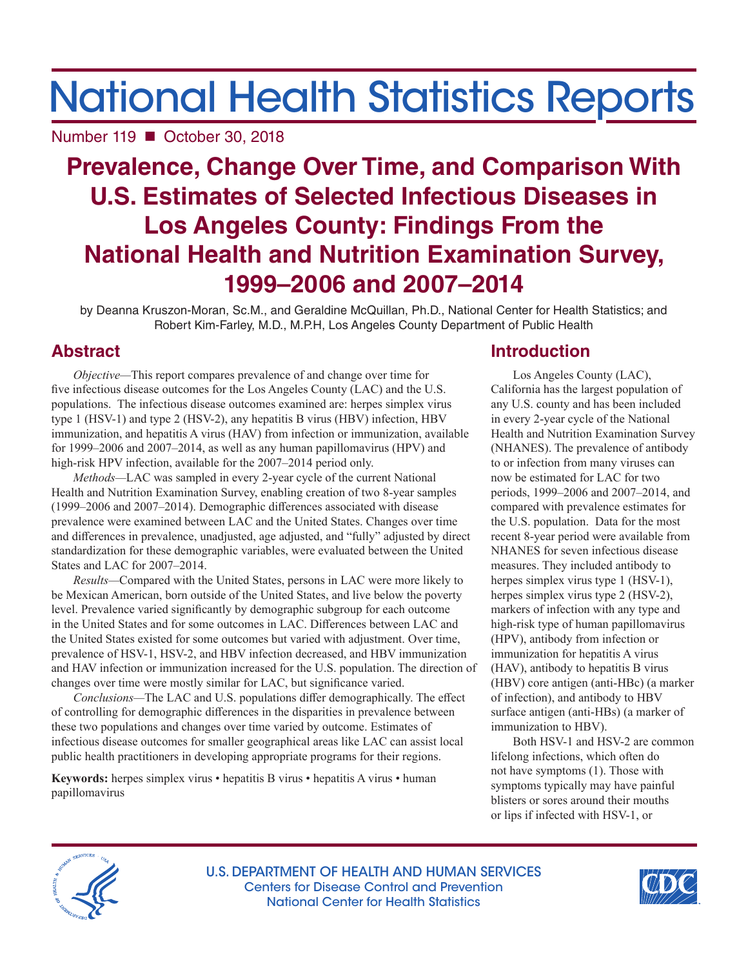# National Health Statistics Reports

Number 119 ■ October 30, 2018

## **Prevalence, Change Over Time, and Comparison With U.S. Estimates of Selected Infectious Diseases in Los Angeles County: Findings From the National Health and Nutrition Examination Survey, 1999–2006 and 2007–2014**

by Deanna Kruszon-Moran, Sc.M., and Geraldine McQuillan, Ph.D., National Center for Health Statistics; and Robert Kim-Farley, M.D., M.P.H, Los Angeles County Department of Public Health

## **Abstract**

*Objective—*This report compares prevalence of and change over time for five infectious disease outcomes for the Los Angeles County (LAC) and the U.S. populations. The infectious disease outcomes examined are: herpes simplex virus type 1 (HSV-1) and type 2 (HSV-2), any hepatitis B virus (HBV) infection, HBV immunization, and hepatitis A virus (HAV) from infection or immunization, available for 1999–2006 and 2007–2014, as well as any human papillomavirus (HPV) and high-risk HPV infection, available for the 2007–2014 period only.

*Methods—*LAC was sampled in every 2-year cycle of the current National Health and Nutrition Examination Survey, enabling creation of two 8-year samples (1999–2006 and 2007–2014). Demographic differences associated with disease prevalence were examined between LAC and the United States. Changes over time and differences in prevalence, unadjusted, age adjusted, and "fully" adjusted by direct standardization for these demographic variables, were evaluated between the United States and LAC for 2007–2014.

*Results—*Compared with the United States, persons in LAC were more likely to be Mexican American, born outside of the United States, and live below the poverty level. Prevalence varied significantly by demographic subgroup for each outcome in the United States and for some outcomes in LAC. Differences between LAC and the United States existed for some outcomes but varied with adjustment. Over time, prevalence of HSV-1, HSV-2, and HBV infection decreased, and HBV immunization and HAV infection or immunization increased for the U.S. population. The direction of changes over time were mostly similar for LAC, but significance varied.

*Conclusions—*The LAC and U.S. populations differ demographically. The effect of controlling for demographic differences in the disparities in prevalence between these two populations and changes over time varied by outcome. Estimates of infectious disease outcomes for smaller geographical areas like LAC can assist local public health practitioners in developing appropriate programs for their regions.

**Keywords:** herpes simplex virus • hepatitis B virus • hepatitis A virus • human papillomavirus

## **Introduction**

Los Angeles County (LAC), California has the largest population of any U.S. county and has been included in every 2-year cycle of the National Health and Nutrition Examination Survey (NHANES). The prevalence of antibody to or infection from many viruses can now be estimated for LAC for two periods, 1999–2006 and 2007–2014, and compared with prevalence estimates for the U.S. population. Data for the most recent 8-year period were available from NHANES for seven infectious disease measures. They included antibody to herpes simplex virus type 1 (HSV-1), herpes simplex virus type 2 (HSV-2), markers of infection with any type and high-risk type of human papillomavirus (HPV), antibody from infection or immunization for hepatitis A virus (HAV), antibody to hepatitis B virus (HBV) core antigen (anti-HBc) (a marker of infection), and antibody to HBV surface antigen (anti-HBs) (a marker of immunization to HBV).

Both HSV-1 and HSV-2 are common lifelong infections, which often do not have symptoms (1). Those with symptoms typically may have painful blisters or sores around their mouths or lips if infected with HSV-1, or



U.S. DEPARTMENT OF HEALTH AND HUMAN SERVICES Centers for Disease Control and Prevention National Center for Health Statistics

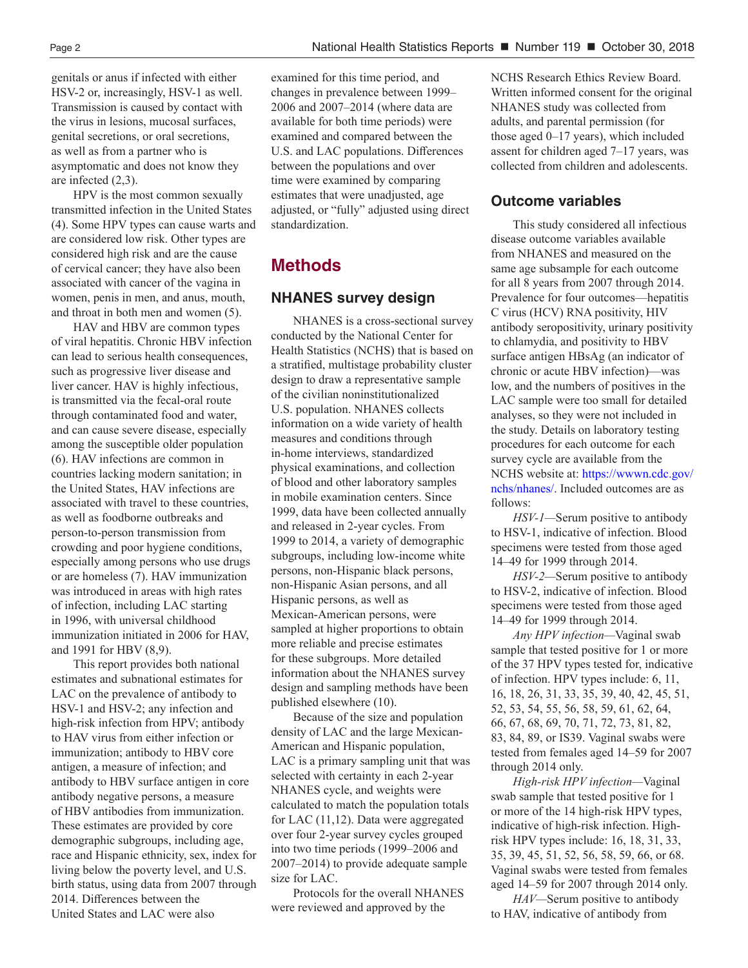genitals or anus if infected with either HSV-2 or, increasingly, HSV-1 as well. Transmission is caused by contact with the virus in lesions, mucosal surfaces, genital secretions, or oral secretions, as well as from a partner who is asymptomatic and does not know they are infected (2,3).

HPV is the most common sexually transmitted infection in the United States (4). Some HPV types can cause warts and are considered low risk. Other types are considered high risk and are the cause of cervical cancer; they have also been associated with cancer of the vagina in women, penis in men, and anus, mouth, and throat in both men and women (5).

HAV and HBV are common types of viral hepatitis. Chronic HBV infection can lead to serious health consequences, such as progressive liver disease and liver cancer. HAV is highly infectious, is transmitted via the fecal-oral route through contaminated food and water, and can cause severe disease, especially among the susceptible older population (6). HAV infections are common in countries lacking modern sanitation; in the United States, HAV infections are associated with travel to these countries, as well as foodborne outbreaks and person-to-person transmission from crowding and poor hygiene conditions, especially among persons who use drugs or are homeless (7). HAV immunization was introduced in areas with high rates of infection, including LAC starting in 1996, with universal childhood immunization initiated in 2006 for HAV, and 1991 for HBV (8,9).

This report provides both national estimates and subnational estimates for LAC on the prevalence of antibody to HSV-1 and HSV-2; any infection and high-risk infection from HPV; antibody to HAV virus from either infection or immunization; antibody to HBV core antigen, a measure of infection; and antibody to HBV surface antigen in core antibody negative persons, a measure of HBV antibodies from immunization. These estimates are provided by core demographic subgroups, including age, race and Hispanic ethnicity, sex, index for living below the poverty level, and U.S. birth status, using data from 2007 through 2014. Differences between the United States and LAC were also

examined for this time period, and changes in prevalence between 1999– 2006 and 2007–2014 (where data are available for both time periods) were examined and compared between the U.S. and LAC populations. Differences between the populations and over time were examined by comparing estimates that were unadjusted, age adjusted, or "fully" adjusted using direct standardization.

#### **Methods**

#### **NHANES survey design**

NHANES is a cross-sectional survey conducted by the National Center for Health Statistics (NCHS) that is based on a stratified, multistage probability cluster design to draw a representative sample of the civilian noninstitutionalized U.S. population. NHANES collects information on a wide variety of health measures and conditions through in-home interviews, standardized physical examinations, and collection of blood and other laboratory samples in mobile examination centers. Since 1999, data have been collected annually and released in 2-year cycles. From 1999 to 2014, a variety of demographic subgroups, including low-income white persons, non-Hispanic black persons, non-Hispanic Asian persons, and all Hispanic persons, as well as Mexican-American persons, were sampled at higher proportions to obtain more reliable and precise estimates for these subgroups. More detailed information about the NHANES survey design and sampling methods have been published elsewhere (10).

Because of the size and population density of LAC and the large Mexican-American and Hispanic population, LAC is a primary sampling unit that was selected with certainty in each 2-year NHANES cycle, and weights were calculated to match the population totals for LAC (11,12). Data were aggregated over four 2-year survey cycles grouped into two time periods (1999–2006 and 2007–2014) to provide adequate sample size for LAC.

Protocols for the overall NHANES were reviewed and approved by the

NCHS Research Ethics Review Board. Written informed consent for the original NHANES study was collected from adults, and parental permission (for those aged 0–17 years), which included assent for children aged 7–17 years, was collected from children and adolescents.

#### **Outcome variables**

This study considered all infectious disease outcome variables available from NHANES and measured on the same age subsample for each outcome for all 8 years from 2007 through 2014. Prevalence for four outcomes—hepatitis C virus (HCV) RNA positivity, HIV antibody seropositivity, urinary positivity to chlamydia, and positivity to HBV surface antigen HBsAg (an indicator of chronic or acute HBV infection)—was low, and the numbers of positives in the LAC sample were too small for detailed analyses, so they were not included in the study. Details on laboratory testing procedures for each outcome for each survey cycle are available from the NCHS website at: [https://wwwn.cdc.gov/](https://wwwn.cdc.gov/nchs/nhanes/) [nchs/nhanes/.](https://wwwn.cdc.gov/nchs/nhanes/) Included outcomes are as follows:

*HSV-1—*Serum positive to antibody to HSV-1, indicative of infection. Blood specimens were tested from those aged 14–49 for 1999 through 2014.

*HSV-2—*Serum positive to antibody to HSV-2, indicative of infection. Blood specimens were tested from those aged 14–49 for 1999 through 2014.

*Any HPV infection—*Vaginal swab sample that tested positive for 1 or more of the 37 HPV types tested for, indicative of infection. HPV types include: 6, 11, 16, 18, 26, 31, 33, 35, 39, 40, 42, 45, 51, 52, 53, 54, 55, 56, 58, 59, 61, 62, 64, 66, 67, 68, 69, 70, 71, 72, 73, 81, 82, 83, 84, 89, or IS39. Vaginal swabs were tested from females aged 14–59 for 2007 through 2014 only.

*High-risk HPV infection—*Vaginal swab sample that tested positive for 1 or more of the 14 high-risk HPV types, indicative of high-risk infection. Highrisk HPV types include: 16, 18, 31, 33, 35, 39, 45, 51, 52, 56, 58, 59, 66, or 68. Vaginal swabs were tested from females aged 14–59 for 2007 through 2014 only.

*HAV—*Serum positive to antibody to HAV, indicative of antibody from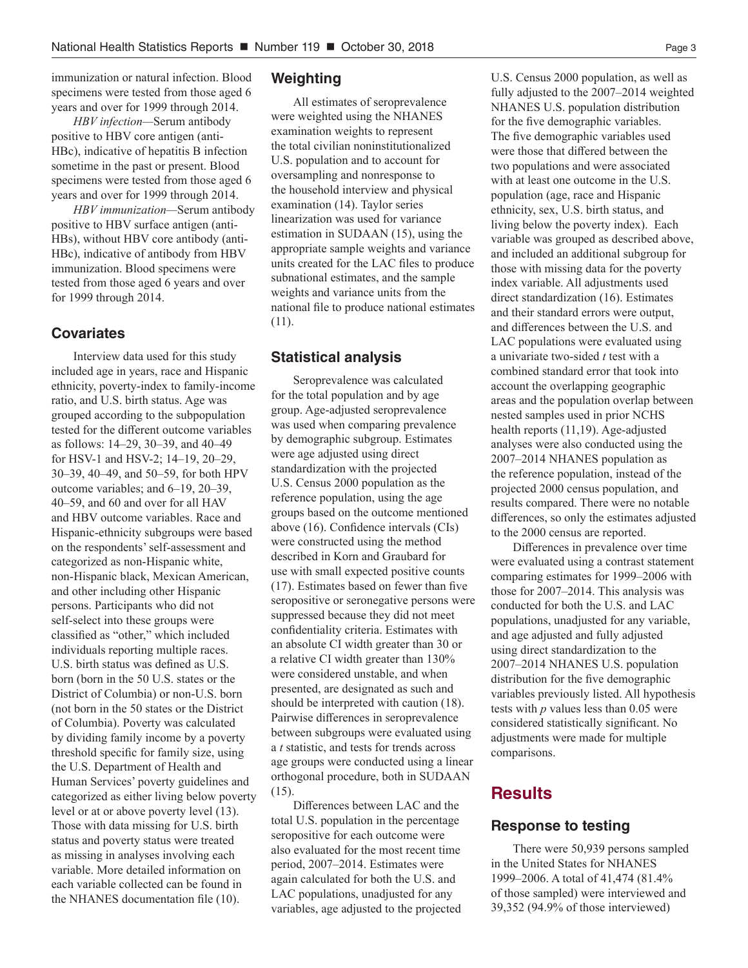immunization or natural infection. Blood specimens were tested from those aged 6 years and over for 1999 through 2014.

*HBV infection—*Serum antibody positive to HBV core antigen (anti-HBc), indicative of hepatitis B infection sometime in the past or present. Blood specimens were tested from those aged 6 years and over for 1999 through 2014.

*HBV immunization—*Serum antibody positive to HBV surface antigen (anti-HBs), without HBV core antibody (anti-HBc), indicative of antibody from HBV immunization. Blood specimens were tested from those aged 6 years and over for 1999 through 2014.

#### **Covariates**

Interview data used for this study included age in years, race and Hispanic ethnicity, poverty-index to family-income ratio, and U.S. birth status. Age was grouped according to the subpopulation tested for the different outcome variables as follows: 14–29, 30–39, and 40–49 for HSV-1 and HSV-2; 14–19, 20–29, 30–39, 40–49, and 50–59, for both HPV outcome variables; and 6–19, 20–39, 40–59, and 60 and over for all HAV and HBV outcome variables. Race and Hispanic-ethnicity subgroups were based on the respondents' self-assessment and categorized as non-Hispanic white, non-Hispanic black, Mexican American, and other including other Hispanic persons. Participants who did not self-select into these groups were classified as "other," which included individuals reporting multiple races. U.S. birth status was defined as U.S. born (born in the 50 U.S. states or the District of Columbia) or non-U.S. born (not born in the 50 states or the District of Columbia). Poverty was calculated by dividing family income by a poverty threshold specific for family size, using the U.S. Department of Health and Human Services' poverty guidelines and categorized as either living below poverty level or at or above poverty level (13). Those with data missing for U.S. birth status and poverty status were treated as missing in analyses involving each variable. More detailed information on each variable collected can be found in the NHANES documentation file (10).

#### **Weighting**

All estimates of seroprevalence were weighted using the NHANES examination weights to represent the total civilian noninstitutionalized U.S. population and to account for oversampling and nonresponse to the household interview and physical examination (14). Taylor series linearization was used for variance estimation in SUDAAN (15), using the appropriate sample weights and variance units created for the LAC files to produce subnational estimates, and the sample weights and variance units from the national file to produce national estimates (11).

#### **Statistical analysis**

Seroprevalence was calculated for the total population and by age group. Age-adjusted seroprevalence was used when comparing prevalence by demographic subgroup. Estimates were age adjusted using direct standardization with the projected U.S. Census 2000 population as the reference population, using the age groups based on the outcome mentioned above (16). Confidence intervals (CIs) were constructed using the method described in Korn and Graubard for use with small expected positive counts (17). Estimates based on fewer than five seropositive or seronegative persons were suppressed because they did not meet confidentiality criteria. Estimates with an absolute CI width greater than 30 or a relative CI width greater than 130% were considered unstable, and when presented, are designated as such and should be interpreted with caution (18). Pairwise differences in seroprevalence between subgroups were evaluated using a *t* statistic, and tests for trends across age groups were conducted using a linear orthogonal procedure, both in SUDAAN (15).

Differences between LAC and the total U.S. population in the percentage seropositive for each outcome were also evaluated for the most recent time period, 2007–2014. Estimates were again calculated for both the U.S. and LAC populations, unadjusted for any variables, age adjusted to the projected U.S. Census 2000 population, as well as fully adjusted to the 2007–2014 weighted NHANES U.S. population distribution for the five demographic variables. The five demographic variables used were those that differed between the two populations and were associated with at least one outcome in the U.S. population (age, race and Hispanic ethnicity, sex, U.S. birth status, and living below the poverty index). Each variable was grouped as described above, and included an additional subgroup for those with missing data for the poverty index variable. All adjustments used direct standardization (16). Estimates and their standard errors were output, and differences between the U.S. and LAC populations were evaluated using a univariate two-sided *t* test with a combined standard error that took into account the overlapping geographic areas and the population overlap between nested samples used in prior NCHS health reports (11,19). Age-adjusted analyses were also conducted using the 2007–2014 NHANES population as the reference population, instead of the projected 2000 census population, and results compared. There were no notable differences, so only the estimates adjusted to the 2000 census are reported.

Differences in prevalence over time were evaluated using a contrast statement comparing estimates for 1999–2006 with those for 2007–2014. This analysis was conducted for both the U.S. and LAC populations, unadjusted for any variable, and age adjusted and fully adjusted using direct standardization to the 2007–2014 NHANES U.S. population distribution for the five demographic variables previously listed. All hypothesis tests with *p* values less than 0.05 were considered statistically significant. No adjustments were made for multiple comparisons.

#### **Results**

#### **Response to testing**

There were 50,939 persons sampled in the United States for NHANES 1999–2006. A total of 41,474 (81.4% of those sampled) were interviewed and 39,352 (94.9% of those interviewed)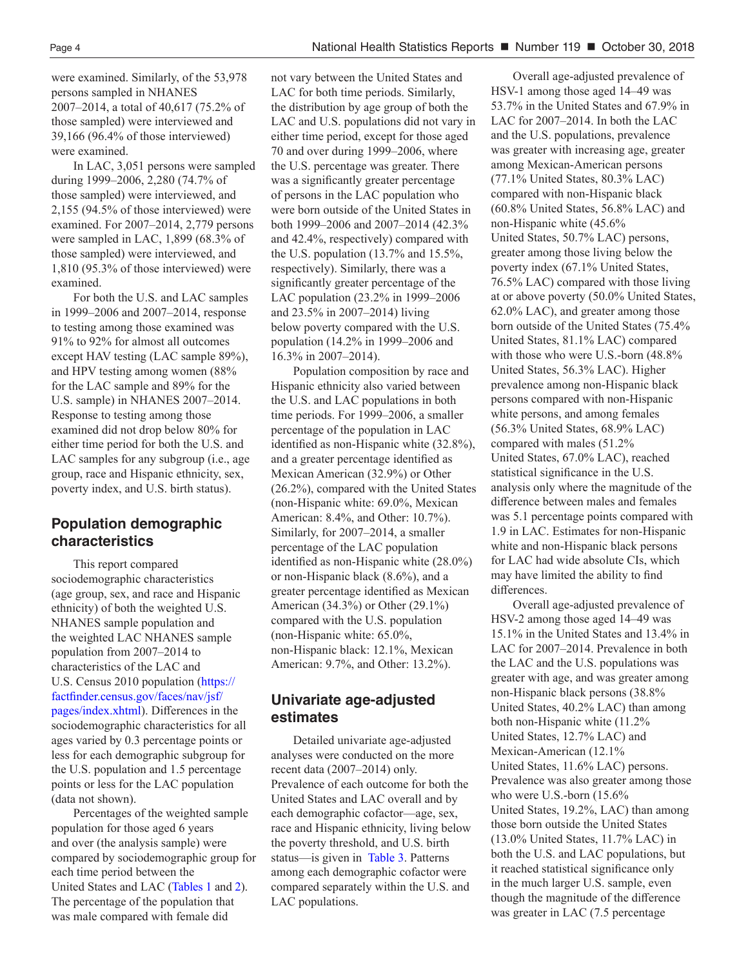were examined. Similarly, of the 53,978 persons sampled in NHANES 2007–2014, a total of 40,617 (75.2% of those sampled) were interviewed and 39,166 (96.4% of those interviewed) were examined.

In LAC, 3,051 persons were sampled during 1999–2006, 2,280 (74.7% of those sampled) were interviewed, and 2,155 (94.5% of those interviewed) were examined. For 2007–2014, 2,779 persons were sampled in LAC, 1,899 (68.3% of those sampled) were interviewed, and 1,810 (95.3% of those interviewed) were examined.

For both the U.S. and LAC samples in 1999–2006 and 2007–2014, response to testing among those examined was 91% to 92% for almost all outcomes except HAV testing (LAC sample 89%), and HPV testing among women (88% for the LAC sample and 89% for the U.S. sample) in NHANES 2007–2014. Response to testing among those examined did not drop below 80% for either time period for both the U.S. and LAC samples for any subgroup (i.e., age group, race and Hispanic ethnicity, sex, poverty index, and U.S. birth status).

#### **Population demographic characteristics**

This report compared sociodemographic characteristics (age group, sex, and race and Hispanic ethnicity) of both the weighted U.S. NHANES sample population and the weighted LAC NHANES sample population from 2007–2014 to characteristics of the LAC and U.S. Census 2010 population ([https://](https://factfinder.census.gov/faces/nav/jsf/pages/index.xhtml) [factfinder.census.gov/faces/nav/jsf/](https://factfinder.census.gov/faces/nav/jsf/pages/index.xhtml) [pages/index.xhtml\)](https://factfinder.census.gov/faces/nav/jsf/pages/index.xhtml). Differences in the sociodemographic characteristics for all ages varied by 0.3 percentage points or less for each demographic subgroup for the U.S. population and 1.5 percentage points or less for the LAC population (data not shown).

Percentages of the weighted sample population for those aged 6 years and over (the analysis sample) were compared by sociodemographic group for each time period between the United States and LAC ([Tables 1](#page-9-0) and [2\).](#page-10-0) The percentage of the population that was male compared with female did

not vary between the United States and LAC for both time periods. Similarly, the distribution by age group of both the LAC and U.S. populations did not vary in either time period, except for those aged 70 and over during 1999–2006, where the U.S. percentage was greater. There was a significantly greater percentage of persons in the LAC population who were born outside of the United States in both 1999–2006 and 2007–2014 (42.3% and 42.4%, respectively) compared with the U.S. population (13.7% and 15.5%, respectively). Similarly, there was a significantly greater percentage of the LAC population (23.2% in 1999–2006 and 23.5% in 2007–2014) living below poverty compared with the U.S. population (14.2% in 1999–2006 and 16.3% in 2007–2014).

Population composition by race and Hispanic ethnicity also varied between the U.S. and LAC populations in both time periods. For 1999–2006, a smaller percentage of the population in LAC identified as non-Hispanic white (32.8%), and a greater percentage identified as Mexican American (32.9%) or Other (26.2%), compared with the United States (non-Hispanic white: 69.0%, Mexican American: 8.4%, and Other: 10.7%). Similarly, for 2007–2014, a smaller percentage of the LAC population identified as non-Hispanic white (28.0%) or non-Hispanic black (8.6%), and a greater percentage identified as Mexican American (34.3%) or Other (29.1%) compared with the U.S. population (non-Hispanic white: 65.0%, non-Hispanic black: 12.1%, Mexican American: 9.7%, and Other: 13.2%).

#### **Univariate age-adjusted estimates**

Detailed univariate age-adjusted analyses were conducted on the more recent data (2007–2014) only. Prevalence of each outcome for both the United States and LAC overall and by each demographic cofactor—age, sex, race and Hispanic ethnicity, living below the poverty threshold, and U.S. birth status—is given in [Table 3.](#page-11-0) Patterns among each demographic cofactor were compared separately within the U.S. and LAC populations.

Overall age-adjusted prevalence of HSV-1 among those aged 14–49 was 53.7% in the United States and 67.9% in LAC for 2007–2014. In both the LAC and the U.S. populations, prevalence was greater with increasing age, greater among Mexican-American persons (77.1% United States, 80.3% LAC) compared with non-Hispanic black (60.8% United States, 56.8% LAC) and non-Hispanic white (45.6% United States, 50.7% LAC) persons, greater among those living below the poverty index (67.1% United States, 76.5% LAC) compared with those living at or above poverty (50.0% United States, 62.0% LAC), and greater among those born outside of the United States (75.4% United States, 81.1% LAC) compared with those who were U.S.-born (48.8% United States, 56.3% LAC). Higher prevalence among non-Hispanic black persons compared with non-Hispanic white persons, and among females (56.3% United States, 68.9% LAC) compared with males (51.2% United States, 67.0% LAC), reached statistical significance in the U.S. analysis only where the magnitude of the difference between males and females was 5.1 percentage points compared with 1.9 in LAC. Estimates for non-Hispanic white and non-Hispanic black persons for LAC had wide absolute CIs, which may have limited the ability to find differences.

Overall age-adjusted prevalence of HSV-2 among those aged 14–49 was 15.1% in the United States and 13.4% in LAC for 2007–2014. Prevalence in both the LAC and the U.S. populations was greater with age, and was greater among non-Hispanic black persons (38.8% United States, 40.2% LAC) than among both non-Hispanic white (11.2% United States, 12.7% LAC) and Mexican-American (12.1% United States, 11.6% LAC) persons. Prevalence was also greater among those who were U.S.-born (15.6% United States, 19.2%, LAC) than among those born outside the United States (13.0% United States, 11.7% LAC) in both the U.S. and LAC populations, but it reached statistical significance only in the much larger U.S. sample, even though the magnitude of the difference was greater in LAC (7.5 percentage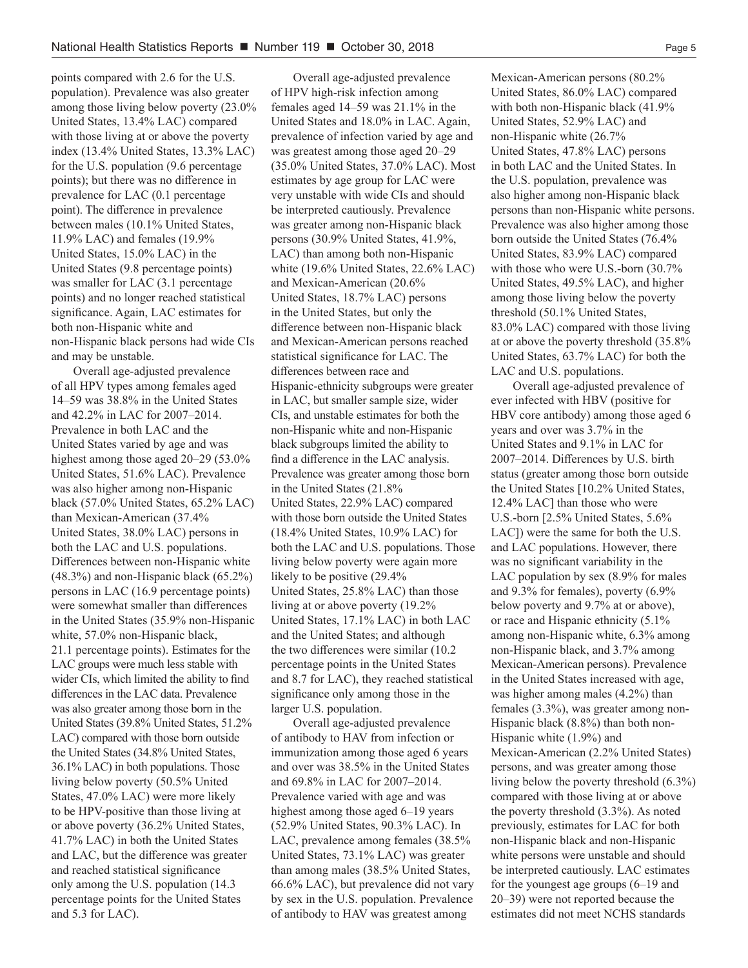points compared with 2.6 for the U.S. population). Prevalence was also greater among those living below poverty (23.0% United States, 13.4% LAC) compared with those living at or above the poverty index (13.4% United States, 13.3% LAC) for the U.S. population (9.6 percentage points); but there was no difference in prevalence for LAC (0.1 percentage point). The difference in prevalence between males (10.1% United States, 11.9% LAC) and females (19.9% United States, 15.0% LAC) in the United States (9.8 percentage points) was smaller for LAC  $(3.1)$  percentage points) and no longer reached statistical significance. Again, LAC estimates for both non-Hispanic white and non-Hispanic black persons had wide CIs and may be unstable.

Overall age-adjusted prevalence of all HPV types among females aged 14–59 was 38.8% in the United States and 42.2% in LAC for 2007–2014. Prevalence in both LAC and the United States varied by age and was highest among those aged 20–29 (53.0% United States, 51.6% LAC). Prevalence was also higher among non-Hispanic black (57.0% United States, 65.2% LAC) than Mexican-American (37.4% United States, 38.0% LAC) persons in both the LAC and U.S. populations. Differences between non-Hispanic white (48.3%) and non-Hispanic black (65.2%) persons in LAC (16.9 percentage points) were somewhat smaller than differences in the United States (35.9% non-Hispanic white, 57.0% non-Hispanic black, 21.1 percentage points). Estimates for the LAC groups were much less stable with wider CIs, which limited the ability to find differences in the LAC data. Prevalence was also greater among those born in the United States (39.8% United States, 51.2% LAC) compared with those born outside the United States (34.8% United States, 36.1% LAC) in both populations. Those living below poverty (50.5% United States, 47.0% LAC) were more likely to be HPV-positive than those living at or above poverty (36.2% United States, 41.7% LAC) in both the United States and LAC, but the difference was greater and reached statistical significance only among the U.S. population (14.3 percentage points for the United States and 5.3 for LAC).

Overall age-adjusted prevalence of HPV high-risk infection among females aged 14–59 was 21.1% in the United States and 18.0% in LAC. Again, prevalence of infection varied by age and was greatest among those aged 20–29 (35.0% United States, 37.0% LAC). Most estimates by age group for LAC were very unstable with wide CIs and should be interpreted cautiously. Prevalence was greater among non-Hispanic black persons (30.9% United States, 41.9%, LAC) than among both non-Hispanic white (19.6% United States, 22.6% LAC) and Mexican-American (20.6% United States, 18.7% LAC) persons in the United States, but only the difference between non-Hispanic black and Mexican-American persons reached statistical significance for LAC. The differences between race and Hispanic-ethnicity subgroups were greater in LAC, but smaller sample size, wider CIs, and unstable estimates for both the non-Hispanic white and non-Hispanic black subgroups limited the ability to find a difference in the LAC analysis. Prevalence was greater among those born in the United States (21.8% United States, 22.9% LAC) compared with those born outside the United States (18.4% United States, 10.9% LAC) for both the LAC and U.S. populations. Those living below poverty were again more likely to be positive (29.4% United States, 25.8% LAC) than those living at or above poverty (19.2% United States, 17.1% LAC) in both LAC and the United States; and although the two differences were similar (10.2 percentage points in the United States and 8.7 for LAC), they reached statistical significance only among those in the larger U.S. population.

Overall age-adjusted prevalence of antibody to HAV from infection or immunization among those aged 6 years and over was 38.5% in the United States and 69.8% in LAC for 2007–2014. Prevalence varied with age and was highest among those aged 6–19 years (52.9% United States, 90.3% LAC). In LAC, prevalence among females (38.5% United States, 73.1% LAC) was greater than among males (38.5% United States, 66.6% LAC), but prevalence did not vary by sex in the U.S. population. Prevalence of antibody to HAV was greatest among

Mexican-American persons (80.2% United States, 86.0% LAC) compared with both non-Hispanic black (41.9% United States, 52.9% LAC) and non-Hispanic white (26.7% United States, 47.8% LAC) persons in both LAC and the United States. In the U.S. population, prevalence was also higher among non-Hispanic black persons than non-Hispanic white persons. Prevalence was also higher among those born outside the United States (76.4% United States, 83.9% LAC) compared with those who were U.S.-born (30.7% United States, 49.5% LAC), and higher among those living below the poverty threshold (50.1% United States, 83.0% LAC) compared with those living at or above the poverty threshold (35.8% United States, 63.7% LAC) for both the LAC and U.S. populations.

Overall age-adjusted prevalence of ever infected with HBV (positive for HBV core antibody) among those aged 6 years and over was 3.7% in the United States and 9.1% in LAC for 2007–2014. Differences by U.S. birth status (greater among those born outside the United States [10.2% United States, 12.4% LAC] than those who were U.S.-born [2.5% United States, 5.6% LAC]) were the same for both the U.S. and LAC populations. However, there was no significant variability in the LAC population by sex (8.9% for males and 9.3% for females), poverty (6.9% below poverty and 9.7% at or above), or race and Hispanic ethnicity (5.1% among non-Hispanic white, 6.3% among non-Hispanic black, and 3.7% among Mexican-American persons). Prevalence in the United States increased with age, was higher among males (4.2%) than females (3.3%), was greater among non-Hispanic black (8.8%) than both non-Hispanic white (1.9%) and Mexican-American (2.2% United States) persons, and was greater among those living below the poverty threshold (6.3%) compared with those living at or above the poverty threshold (3.3%). As noted previously, estimates for LAC for both non-Hispanic black and non-Hispanic white persons were unstable and should be interpreted cautiously. LAC estimates for the youngest age groups (6–19 and 20–39) were not reported because the estimates did not meet NCHS standards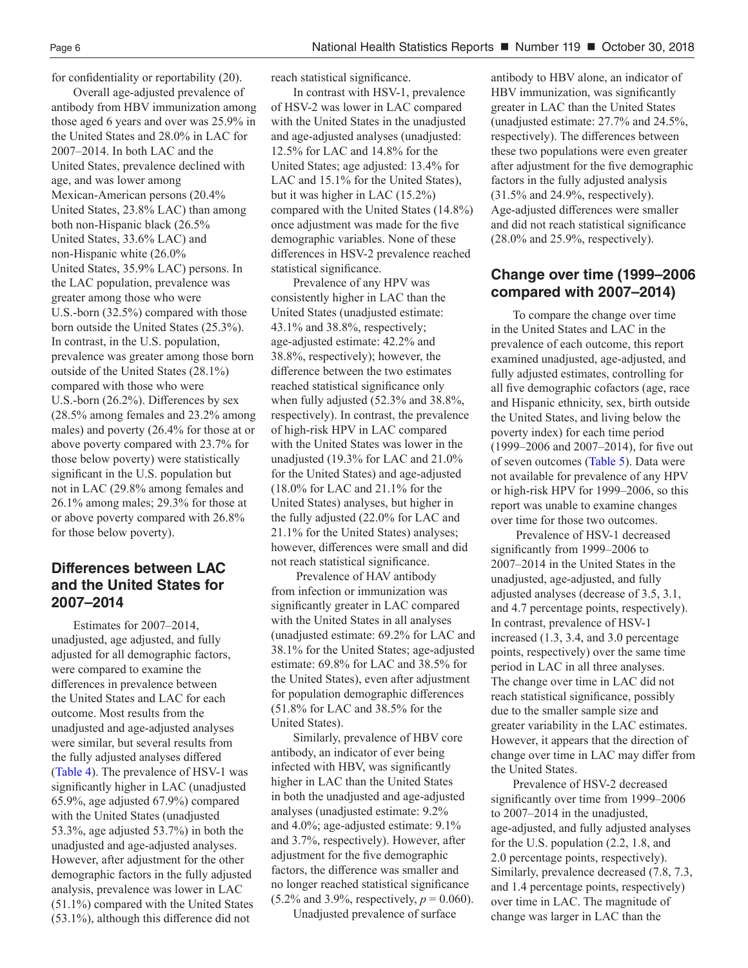for confidentiality or reportability (20).

Overall age-adjusted prevalence of antibody from HBV immunization among those aged 6 years and over was 25.9% in the United States and 28.0% in LAC for 2007–2014. In both LAC and the United States, prevalence declined with age, and was lower among Mexican-American persons (20.4% United States, 23.8% LAC) than among both non-Hispanic black (26.5% United States, 33.6% LAC) and non-Hispanic white (26.0% United States, 35.9% LAC) persons. In the LAC population, prevalence was greater among those who were U.S.-born (32.5%) compared with those born outside the United States (25.3%). In contrast, in the U.S. population, prevalence was greater among those born outside of the United States (28.1%) compared with those who were U.S.-born (26.2%). Differences by sex (28.5% among females and 23.2% among males) and poverty (26.4% for those at or above poverty compared with 23.7% for those below poverty) were statistically significant in the U.S. population but not in LAC (29.8% among females and 26.1% among males; 29.3% for those at or above poverty compared with 26.8% for those below poverty).

#### **Differences between LAC and the United States for 2007–2014**

Estimates for 2007–2014, unadjusted, age adjusted, and fully adjusted for all demographic factors, were compared to examine the differences in prevalence between the United States and LAC for each outcome. Most results from the unadjusted and age-adjusted analyses were similar, but several results from the fully adjusted analyses differed ([Table 4\).](#page-14-0) The prevalence of HSV-1 was significantly higher in LAC (unadjusted 65.9%, age adjusted 67.9%) compared with the United States (unadjusted 53.3%, age adjusted 53.7%) in both the unadjusted and age-adjusted analyses. However, after adjustment for the other demographic factors in the fully adjusted analysis, prevalence was lower in LAC (51.1%) compared with the United States (53.1%), although this difference did not

reach statistical significance.

In contrast with HSV-1, prevalence of HSV-2 was lower in LAC compared with the United States in the unadjusted and age-adjusted analyses (unadjusted: 12.5% for LAC and 14.8% for the United States; age adjusted: 13.4% for LAC and 15.1% for the United States), but it was higher in LAC (15.2%) compared with the United States (14.8%) once adjustment was made for the five demographic variables. None of these differences in HSV-2 prevalence reached statistical significance.

Prevalence of any HPV was consistently higher in LAC than the United States (unadjusted estimate: 43.1% and 38.8%, respectively; age-adjusted estimate: 42.2% and 38.8%, respectively); however, the difference between the two estimates reached statistical significance only when fully adjusted (52.3% and 38.8%, respectively). In contrast, the prevalence of high-risk HPV in LAC compared with the United States was lower in the unadjusted (19.3% for LAC and 21.0% for the United States) and age-adjusted (18.0% for LAC and 21.1% for the United States) analyses, but higher in the fully adjusted (22.0% for LAC and 21.1% for the United States) analyses; however, differences were small and did not reach statistical significance.

 Prevalence of HAV antibody from infection or immunization was significantly greater in LAC compared with the United States in all analyses (unadjusted estimate: 69.2% for LAC and 38.1% for the United States; age-adjusted estimate: 69.8% for LAC and 38.5% for the United States), even after adjustment for population demographic differences (51.8% for LAC and 38.5% for the United States).

Similarly, prevalence of HBV core antibody, an indicator of ever being infected with HBV, was significantly higher in LAC than the United States in both the unadjusted and age-adjusted analyses (unadjusted estimate: 9.2% and 4.0%; age-adjusted estimate: 9.1% and 3.7%, respectively). However, after adjustment for the five demographic factors, the difference was smaller and no longer reached statistical significance  $(5.2\% \text{ and } 3.9\%, \text{ respectively}, p = 0.060).$ 

Unadjusted prevalence of surface

antibody to HBV alone, an indicator of HBV immunization, was significantly greater in LAC than the United States (unadjusted estimate: 27.7% and 24.5%, respectively). The differences between these two populations were even greater after adjustment for the five demographic factors in the fully adjusted analysis (31.5% and 24.9%, respectively). Age-adjusted differences were smaller and did not reach statistical significance (28.0% and 25.9%, respectively).

#### **Change over time (1999–2006 compared with 2007–2014)**

To compare the change over time in the United States and LAC in the prevalence of each outcome, this report examined unadjusted, age-adjusted, and fully adjusted estimates, controlling for all five demographic cofactors (age, race and Hispanic ethnicity, sex, birth outside the United States, and living below the poverty index) for each time period (1999–2006 and 2007–2014), for five out of seven outcomes [\(Table 5\)](#page-15-0). Data were not available for prevalence of any HPV or high-risk HPV for 1999–2006, so this report was unable to examine changes over time for those two outcomes.

 Prevalence of HSV-1 decreased significantly from 1999–2006 to 2007–2014 in the United States in the unadjusted, age-adjusted, and fully adjusted analyses (decrease of 3.5, 3.1, and 4.7 percentage points, respectively). In contrast, prevalence of HSV-1 increased (1.3, 3.4, and 3.0 percentage points, respectively) over the same time period in LAC in all three analyses. The change over time in LAC did not reach statistical significance, possibly due to the smaller sample size and greater variability in the LAC estimates. However, it appears that the direction of change over time in LAC may differ from the United States.

Prevalence of HSV-2 decreased significantly over time from 1999–2006 to 2007–2014 in the unadjusted, age-adjusted, and fully adjusted analyses for the U.S. population (2.2, 1.8, and 2.0 percentage points, respectively). Similarly, prevalence decreased (7.8, 7.3, and 1.4 percentage points, respectively) over time in LAC. The magnitude of change was larger in LAC than the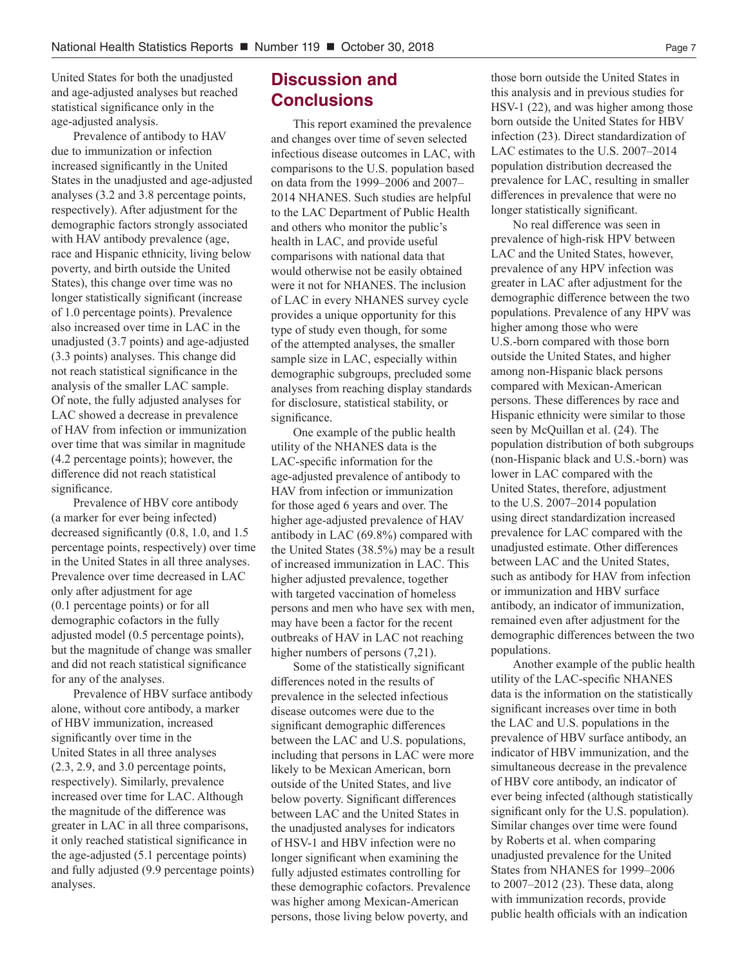United States for both the unadjusted and age-adjusted analyses but reached statistical significance only in the age-adjusted analysis.

Prevalence of antibody to HAV due to immunization or infection increased significantly in the United States in the unadjusted and age-adjusted analyses (3.2 and 3.8 percentage points, respectively). After adjustment for the demographic factors strongly associated with HAV antibody prevalence (age, race and Hispanic ethnicity, living below poverty, and birth outside the United States), this change over time was no longer statistically significant (increase of 1.0 percentage points). Prevalence also increased over time in LAC in the unadjusted (3.7 points) and age-adjusted (3.3 points) analyses. This change did not reach statistical significance in the analysis of the smaller LAC sample. Of note, the fully adjusted analyses for LAC showed a decrease in prevalence of HAV from infection or immunization over time that was similar in magnitude (4.2 percentage points); however, the difference did not reach statistical significance.

Prevalence of HBV core antibody (a marker for ever being infected) decreased significantly (0.8, 1.0, and 1.5 percentage points, respectively) over time in the United States in all three analyses. Prevalence over time decreased in LAC only after adjustment for age (0.1 percentage points) or for all demographic cofactors in the fully adjusted model (0.5 percentage points), but the magnitude of change was smaller and did not reach statistical significance for any of the analyses.

Prevalence of HBV surface antibody alone, without core antibody, a marker of HBV immunization, increased significantly over time in the United States in all three analyses (2.3, 2.9, and 3.0 percentage points, respectively). Similarly, prevalence increased over time for LAC. Although the magnitude of the difference was greater in LAC in all three comparisons, it only reached statistical significance in the age-adjusted (5.1 percentage points) and fully adjusted (9.9 percentage points) analyses.

#### **Discussion and Conclusions**

This report examined the prevalence and changes over time of seven selected infectious disease outcomes in LAC, with comparisons to the U.S. population based on data from the 1999–2006 and 2007– 2014 NHANES. Such studies are helpful to the LAC Department of Public Health and others who monitor the public's health in LAC, and provide useful comparisons with national data that would otherwise not be easily obtained were it not for NHANES. The inclusion of LAC in every NHANES survey cycle provides a unique opportunity for this type of study even though, for some of the attempted analyses, the smaller sample size in LAC, especially within demographic subgroups, precluded some analyses from reaching display standards for disclosure, statistical stability, or significance.

One example of the public health utility of the NHANES data is the LAC-specific information for the age-adjusted prevalence of antibody to HAV from infection or immunization for those aged 6 years and over. The higher age-adjusted prevalence of HAV antibody in LAC (69.8%) compared with the United States (38.5%) may be a result of increased immunization in LAC. This higher adjusted prevalence, together with targeted vaccination of homeless persons and men who have sex with men, may have been a factor for the recent outbreaks of HAV in LAC not reaching higher numbers of persons  $(7,21)$ .

Some of the statistically significant differences noted in the results of prevalence in the selected infectious disease outcomes were due to the significant demographic differences between the LAC and U.S. populations, including that persons in LAC were more likely to be Mexican American, born outside of the United States, and live below poverty. Significant differences between LAC and the United States in the unadjusted analyses for indicators of HSV-1 and HBV infection were no longer significant when examining the fully adjusted estimates controlling for these demographic cofactors. Prevalence was higher among Mexican-American persons, those living below poverty, and

those born outside the United States in this analysis and in previous studies for HSV-1 (22), and was higher among those born outside the United States for HBV infection (23). Direct standardization of LAC estimates to the U.S. 2007–2014 population distribution decreased the prevalence for LAC, resulting in smaller differences in prevalence that were no longer statistically significant.

No real difference was seen in prevalence of high-risk HPV between LAC and the United States, however, prevalence of any HPV infection was greater in LAC after adjustment for the demographic difference between the two populations. Prevalence of any HPV was higher among those who were U.S.-born compared with those born outside the United States, and higher among non-Hispanic black persons compared with Mexican-American persons. These differences by race and Hispanic ethnicity were similar to those seen by McQuillan et al. (24). The population distribution of both subgroups (non-Hispanic black and U.S.-born) was lower in LAC compared with the United States, therefore, adjustment to the U.S. 2007–2014 population using direct standardization increased prevalence for LAC compared with the unadjusted estimate. Other differences between LAC and the United States, such as antibody for HAV from infection or immunization and HBV surface antibody, an indicator of immunization, remained even after adjustment for the demographic differences between the two populations.

Another example of the public health utility of the LAC-specific NHANES data is the information on the statistically significant increases over time in both the LAC and U.S. populations in the prevalence of HBV surface antibody, an indicator of HBV immunization, and the simultaneous decrease in the prevalence of HBV core antibody, an indicator of ever being infected (although statistically significant only for the U.S. population). Similar changes over time were found by Roberts et al. when comparing unadjusted prevalence for the United States from NHANES for 1999–2006 to 2007–2012 (23). These data, along with immunization records, provide public health officials with an indication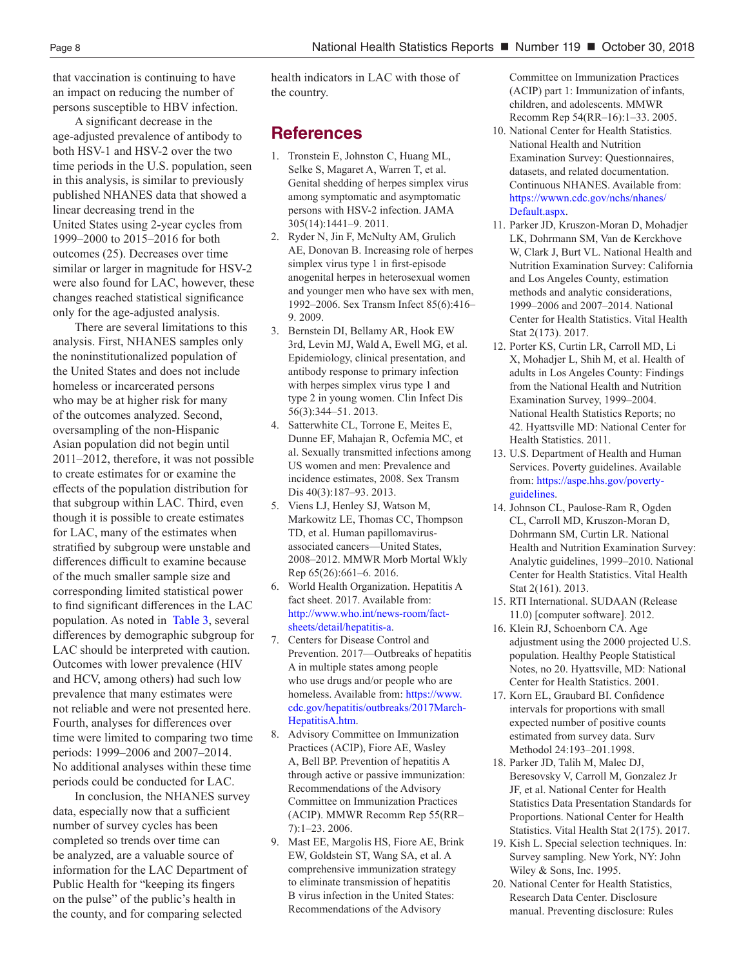that vaccination is continuing to have an impact on reducing the number of persons susceptible to HBV infection.

A significant decrease in the age-adjusted prevalence of antibody to both HSV-1 and HSV-2 over the two time periods in the U.S. population, seen in this analysis, is similar to previously published NHANES data that showed a linear decreasing trend in the United States using 2-year cycles from 1999–2000 to 2015–2016 for both outcomes (25). Decreases over time similar or larger in magnitude for HSV-2 were also found for LAC, however, these changes reached statistical significance only for the age-adjusted analysis.

There are several limitations to this analysis. First, NHANES samples only the noninstitutionalized population of the United States and does not include homeless or incarcerated persons who may be at higher risk for many of the outcomes analyzed. Second, oversampling of the non-Hispanic Asian population did not begin until 2011–2012, therefore, it was not possible to create estimates for or examine the effects of the population distribution for that subgroup within LAC. Third, even though it is possible to create estimates for LAC, many of the estimates when stratified by subgroup were unstable and differences difficult to examine because of the much smaller sample size and corresponding limited statistical power to find significant differences in the LAC population. As noted in [Table 3](#page-11-0), several differences by demographic subgroup for LAC should be interpreted with caution. Outcomes with lower prevalence (HIV and HCV, among others) had such low prevalence that many estimates were not reliable and were not presented here. Fourth, analyses for differences over time were limited to comparing two time periods: 1999–2006 and 2007–2014. No additional analyses within these time periods could be conducted for LAC.

In conclusion, the NHANES survey data, especially now that a sufficient number of survey cycles has been completed so trends over time can be analyzed, are a valuable source of information for the LAC Department of Public Health for "keeping its fingers on the pulse" of the public's health in the county, and for comparing selected

health indicators in LAC with those of the country.

#### **References**

- 1. Tronstein E, Johnston C, Huang ML, Selke S, Magaret A, Warren T, et al. Genital shedding of herpes simplex virus among symptomatic and asymptomatic persons with HSV-2 infection. JAMA 305(14):1441–9. 2011.
- 2. Ryder N, Jin F, McNulty AM, Grulich AE, Donovan B. Increasing role of herpes simplex virus type 1 in first-episode anogenital herpes in heterosexual women and younger men who have sex with men, 1992–2006. Sex Transm Infect 85(6):416– 9. 2009.
- 3. Bernstein DI, Bellamy AR, Hook EW 3rd, Levin MJ, Wald A, Ewell MG, et al. Epidemiology, clinical presentation, and antibody response to primary infection with herpes simplex virus type 1 and type 2 in young women. Clin Infect Dis 56(3):344–51. 2013.
- 4. Satterwhite CL, Torrone E, Meites E, Dunne EF, Mahajan R, Ocfemia MC, et al. Sexually transmitted infections among US women and men: Prevalence and incidence estimates, 2008. Sex Transm Dis 40(3):187–93. 2013.
- 5. Viens LJ, Henley SJ, Watson M, Markowitz LE, Thomas CC, Thompson TD, et al. Human papillomavirusassociated cancers—United States, 2008–2012. MMWR Morb Mortal Wkly Rep 65(26):661–6. 2016.
- 6. World Health Organization. Hepatitis A fact sheet. 2017. Available from[:]( http://www.who.int/news-room/fact-sheets/detail/hepatitis-a) [http://www.who.int/news-room/fact](http://www.who.int/news-room/fact-sheets/detail/hepatitis-a)[sheets/detail/hepatitis-a]( http://www.who.int/news-room/fact-sheets/detail/hepatitis-a).
- 7. Centers for Disease Control and Prevention. 2017—Outbreaks of hepatitis A in multiple states among people who use drugs and/or people who are homeless. Available from: https://www. cdc.gov/hepatitis/outbreaks/2017March-HepatitisA.htm.
- 8. Advisory Committee on Immunization Practices (ACIP), Fiore AE, Wasley A, Bell BP. Prevention of hepatitis A through active or passive immunization: Recommendations of the Advisory Committee on Immunization Practices (ACIP). MMWR Recomm Rep 55(RR– 7):1–23. 2006.
- 9. Mast EE, Margolis HS, Fiore AE, Brink EW, Goldstein ST, Wang SA, et al. A comprehensive immunization strategy to eliminate transmission of hepatitis B virus infection in the United States: Recommendations of the Advisory

Committee on Immunization Practices (ACIP) part 1: Immunization of infants, children, and adolescents. MMWR Recomm Rep 54(RR–16):1–33. 2005.

- 10. National Center for Health Statistics. National Health and Nutrition Examination Survey: Questionnaires, datasets, and related documentation. Continuous NHANES. Available from: https://wwwn.cdc.gov/nchs/nhanes/ Default.aspx.
- 11. Parker JD, Kruszon-Moran D, Mohadjer LK, Dohrmann SM, Van de Kerckhove W, Clark J, Burt VL. National Health and Nutrition Examination Survey: California and Los Angeles County, estimation methods and analytic considerations, 1999–2006 and 2007–2014. National Center for Health Statistics. Vital Health Stat 2(173). 2017.
- 12. Porter KS, Curtin LR, Carroll MD, Li X, Mohadjer L, Shih M, et al. Health of adults in Los Angeles County: Findings from the National Health and Nutrition Examination Survey, 1999–2004. National Health Statistics Reports; no 42. Hyattsville MD: National Center for Health Statistics. 2011.
- 13. U.S. Department of Health and Human Services. Poverty guidelines. Available from: https://aspe.hhs.gov/povertyguidelines.
- 14. Johnson CL, Paulose-Ram R, Ogden CL, Carroll MD, Kruszon-Moran D, Dohrmann SM, Curtin LR. National Health and Nutrition Examination Survey: Analytic guidelines, 1999–2010. National Center for Health Statistics. Vital Health Stat 2(161). 2013.
- 15. RTI International. SUDAAN (Release 11.0) [computer software]. 2012.
- 16. Klein RJ, Schoenborn CA. Age adjustment using the 2000 projected U.S. population. Healthy People Statistical Notes, no 20. Hyattsville, MD: National Center for Health Statistics. 2001.
- 17. Korn EL, Graubard BI. Confidence intervals for proportions with small expected number of positive counts estimated from survey data. Surv Methodol 24:193–201.1998.
- 18. Parker JD, Talih M, Malec DJ, Beresovsky V, Carroll M, Gonzalez Jr JF, et al. National Center for Health Statistics Data Presentation Standards for Proportions. National Center for Health Statistics. Vital Health Stat 2(175). 2017.
- 19. Kish L. Special selection techniques. In: Survey sampling. New York, NY: John Wiley & Sons, Inc. 1995.
- 20. National Center for Health Statistics, Research Data Center. Disclosure manual. Preventing disclosure: Rules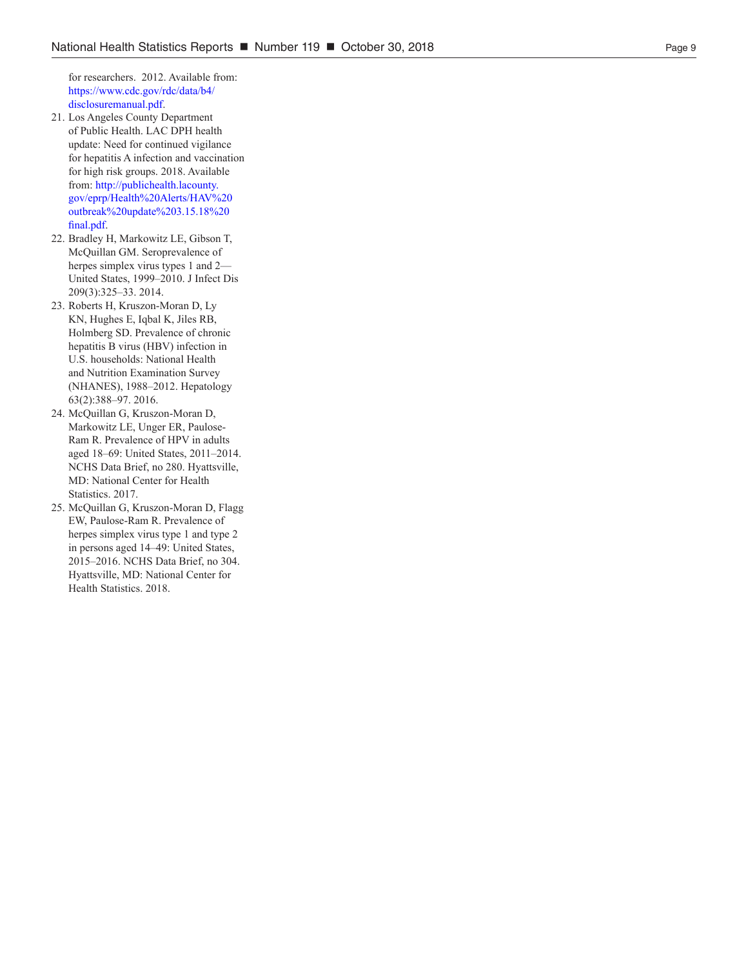for researchers. 2012. Available from: https://www.cdc.gov/rdc/data/b4/ disclosuremanual.pdf.

- 21. Los Angeles County Department of Public Health. LAC DPH health update: Need for continued vigilance for hepatitis A infection and vaccination for high risk groups. 2018. Available from: [http://publichealth.lacounty.](http://publichealth.lacounty.gov/eprp/Health%20Alerts/HAV%20outbreak%20update%203.15.18%20final.pdf) [gov/eprp/Health%20Alerts/HAV%20](http://publichealth.lacounty.gov/eprp/Health%20Alerts/HAV%20outbreak%20update%203.15.18%20final.pdf) [outbreak%20update%203.15.18%20](http://publichealth.lacounty.gov/eprp/Health%20Alerts/HAV%20outbreak%20update%203.15.18%20final.pdf) [final.pdf](http://publichealth.lacounty.gov/eprp/Health%20Alerts/HAV%20outbreak%20update%203.15.18%20final.pdf).
- 22. Bradley H, Markowitz LE, Gibson T, McQuillan GM. Seroprevalence of herpes simplex virus types 1 and 2— United States, 1999–2010. J Infect Dis 209(3):325–33. 2014.
- 23. Roberts H, Kruszon-Moran D, Ly KN, Hughes E, Iqbal K, Jiles RB, Holmberg SD. Prevalence of chronic hepatitis B virus (HBV) infection in U.S. households: National Health and Nutrition Examination Survey (NHANES), 1988–2012. Hepatology 63(2):388–97. 2016.
- 24. McQuillan G, Kruszon-Moran D, Markowitz LE, Unger ER, Paulose-Ram R. Prevalence of HPV in adults aged 18–69: United States, 2011–2014. NCHS Data Brief, no 280. Hyattsville, MD: National Center for Health Statistics. 2017.
- 25. McQuillan G, Kruszon-Moran D, Flagg EW, Paulose-Ram R. Prevalence of herpes simplex virus type 1 and type 2 in persons aged 14–49: United States, 2015–2016. NCHS Data Brief, no 304. Hyattsville, MD: National Center for Health Statistics. 2018.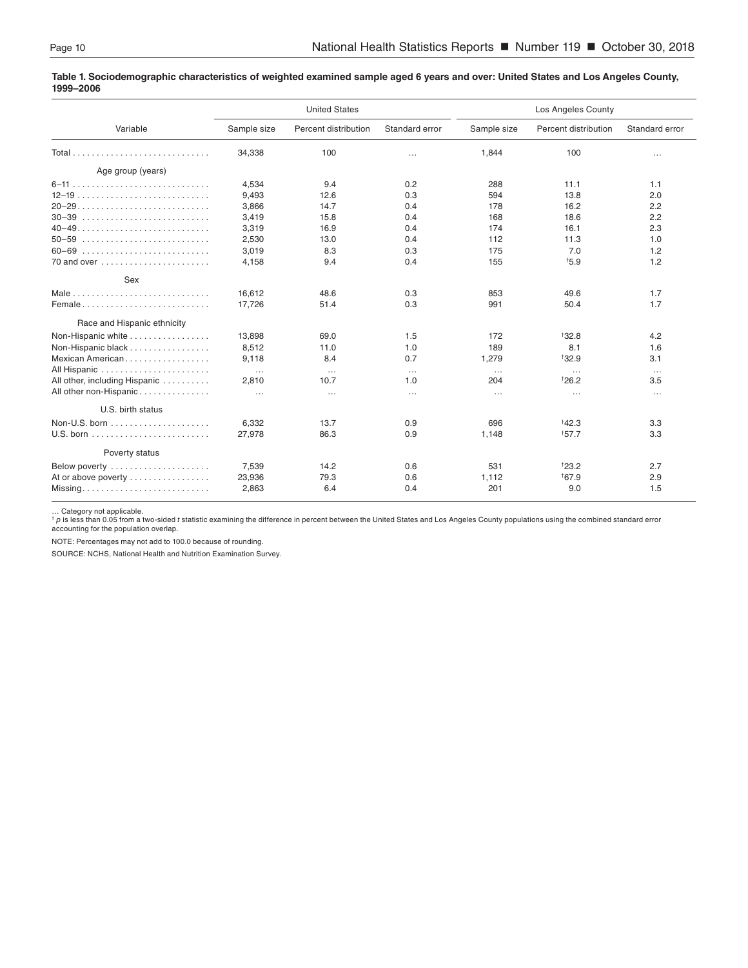#### <span id="page-9-0"></span>**Table 1. Sociodemographic characteristics of weighted examined sample aged 6 years and over: United States and Los Angeles County, 1999–2006**

|                                                            |             | <b>United States</b> |                |             | Los Angeles County   |                |  |  |
|------------------------------------------------------------|-------------|----------------------|----------------|-------------|----------------------|----------------|--|--|
| Variable                                                   | Sample size | Percent distribution | Standard error | Sample size | Percent distribution | Standard error |  |  |
|                                                            | 34,338      | 100                  | $\cdots$       | 1,844       | 100                  | $\cdots$       |  |  |
| Age group (years)                                          |             |                      |                |             |                      |                |  |  |
|                                                            | 4.534       | 9.4                  | 0.2            | 288         | 11.1                 | 1.1            |  |  |
| $12-19$                                                    | 9,493       | 12.6                 | 0.3            | 594         | 13.8                 | 2.0            |  |  |
| $20-29$                                                    | 3,866       | 14.7                 | 0.4            | 178         | 16.2                 | 2.2            |  |  |
| $30 - 39$                                                  | 3,419       | 15.8                 | 0.4            | 168         | 18.6                 | 2.2            |  |  |
|                                                            | 3,319       | 16.9                 | 0.4            | 174         | 16.1                 | 2.3            |  |  |
| $50 - 59$                                                  | 2,530       | 13.0                 | 0.4            | 112         | 11.3                 | 1.0            |  |  |
| 60-69                                                      | 3,019       | 8.3                  | 0.3            | 175         | 7.0                  | 1.2            |  |  |
|                                                            | 4,158       | 9.4                  | 0.4            | 155         | $+5.9$               | 1.2            |  |  |
| Sex                                                        |             |                      |                |             |                      |                |  |  |
|                                                            | 16,612      | 48.6                 | 0.3            | 853         | 49.6                 | 1.7            |  |  |
| Female                                                     | 17,726      | 51.4                 | 0.3            | 991         | 50.4                 | 1.7            |  |  |
| Race and Hispanic ethnicity                                |             |                      |                |             |                      |                |  |  |
| Non-Hispanic white                                         | 13,898      | 69.0                 | 1.5            | 172         | <sup>+</sup> 32.8    | 4.2            |  |  |
| Non-Hispanic black                                         | 8,512       | 11.0                 | 1.0            | 189         | 8.1                  | 1.6            |  |  |
| Mexican American                                           | 9,118       | 8.4                  | 0.7            | 1,279       | $*32.9$              | 3.1            |  |  |
|                                                            | $\cdots$    | $\ldots$             | $\cdots$       | $\cdots$    | $\cdots$             | $\cdots$       |  |  |
| All other, including Hispanic                              | 2,810       | 10.7                 | 1.0            | 204         | $*26.2$              | 3.5            |  |  |
| All other non-Hispanic                                     | $\ldots$    | $\ldots$             | $\cdots$       | $\cdots$    | $\cdots$             | $\cdots$       |  |  |
| U.S. birth status                                          |             |                      |                |             |                      |                |  |  |
|                                                            | 6,332       | 13.7                 | 0.9            | 696         | $*42.3$              | 3.3            |  |  |
|                                                            | 27,978      | 86.3                 | 0.9            | 1,148       | 157.7                | 3.3            |  |  |
| Poverty status                                             |             |                      |                |             |                      |                |  |  |
|                                                            |             |                      |                |             |                      |                |  |  |
| Below poverty                                              | 7,539       | 14.2                 | 0.6            | 531         | 123.2                | 2.7            |  |  |
| At or above poverty                                        | 23,936      | 79.3                 | 0.6            | 1,112       | <sup>†</sup> 67.9    | 2.9            |  |  |
| $Missing \ldots \ldots \ldots \ldots \ldots \ldots \ldots$ | 2,863       | 6.4                  | 0.4            | 201         | 9.0                  | 1.5            |  |  |

… Category not applicable. † *p* is less than 0.05 from a two-sided *t* statistic examining the difference in percent between the United States and Los Angeles County populations using the combined standard error accounting for the population overlap.

NOTE: Percentages may not add to 100.0 because of rounding.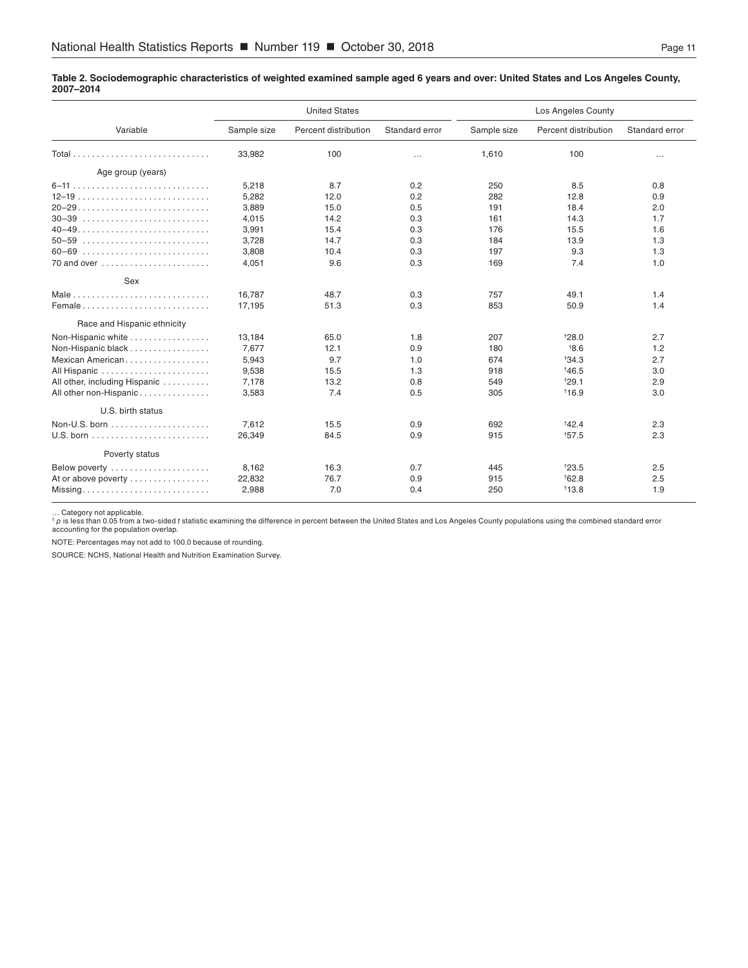#### <span id="page-10-0"></span>**Table 2. Sociodemographic characteristics of weighted examined sample aged 6 years and over: United States and Los Angeles County, 2007–2014**

|                               |             | <b>United States</b> |                | Los Angeles County |                      |                |
|-------------------------------|-------------|----------------------|----------------|--------------------|----------------------|----------------|
| Variable                      | Sample size | Percent distribution | Standard error | Sample size        | Percent distribution | Standard error |
|                               | 33,982      | 100                  | $\cdots$       | 1,610              | 100                  | $\cdots$       |
| Age group (years)             |             |                      |                |                    |                      |                |
|                               | 5,218       | 8.7                  | 0.2            | 250                | 8.5                  | 0.8            |
| $12-19$                       | 5,282       | 12.0                 | 0.2            | 282                | 12.8                 | 0.9            |
| $20-29$                       | 3,889       | 15.0                 | 0.5            | 191                | 18.4                 | 2.0            |
| $30 - 39$                     | 4,015       | 14.2                 | 0.3            | 161                | 14.3                 | 1.7            |
|                               | 3,991       | 15.4                 | 0.3            | 176                | 15.5                 | 1.6            |
| $50 - 59$                     | 3,728       | 14.7                 | 0.3            | 184                | 13.9                 | 1.3            |
| $60 - 69$                     | 3,808       | 10.4                 | 0.3            | 197                | 9.3                  | 1.3            |
|                               | 4,051       | 9.6                  | 0.3            | 169                | 7.4                  | 1.0            |
| Sex                           |             |                      |                |                    |                      |                |
| Male                          | 16,787      | 48.7                 | 0.3            | 757                | 49.1                 | 1.4            |
| Female                        | 17,195      | 51.3                 | 0.3            | 853                | 50.9                 | 1.4            |
| Race and Hispanic ethnicity   |             |                      |                |                    |                      |                |
| Non-Hispanic white            | 13,184      | 65.0                 | 1.8            | 207                | 128.0                | 2.7            |
| Non-Hispanic black            | 7.677       | 12.1                 | 0.9            | 180                | 18.6                 | 1.2            |
| Mexican American              | 5,943       | 9.7                  | 1.0            | 674                | $*34.3$              | 2.7            |
| All Hispanic                  | 9,538       | 15.5                 | 1.3            | 918                | $*46.5$              | 3.0            |
| All other, including Hispanic | 7,178       | 13.2                 | 0.8            | 549                | 129.1                | 2.9            |
| All other non-Hispanic        | 3,583       | 7.4                  | 0.5            | 305                | $*16.9$              | 3.0            |
| U.S. birth status             |             |                      |                |                    |                      |                |
|                               | 7,612       | 15.5                 | 0.9            | 692                | $*42.4$              | 2.3            |
|                               | 26,349      | 84.5                 | 0.9            | 915                | $*57.5$              | 2.3            |
| Poverty status                |             |                      |                |                    |                      |                |
| Below poverty                 | 8,162       | 16.3                 | 0.7            | 445                | 123.5                | 2.5            |
| At or above poverty           | 22,832      | 76.7                 | 0.9            | 915                | 162.8                | 2.5            |
| Missing                       | 2,988       | 7.0                  | 0.4            | 250                | 13.8                 | 1.9            |

… Category not applicable.<br>† p is less than 0.05 from a two-sided *t* statistic examining the difference in percent between the United States and Los Angeles County populations using the combined standard error<br>accounting

NOTE: Percentages may not add to 100.0 because of rounding.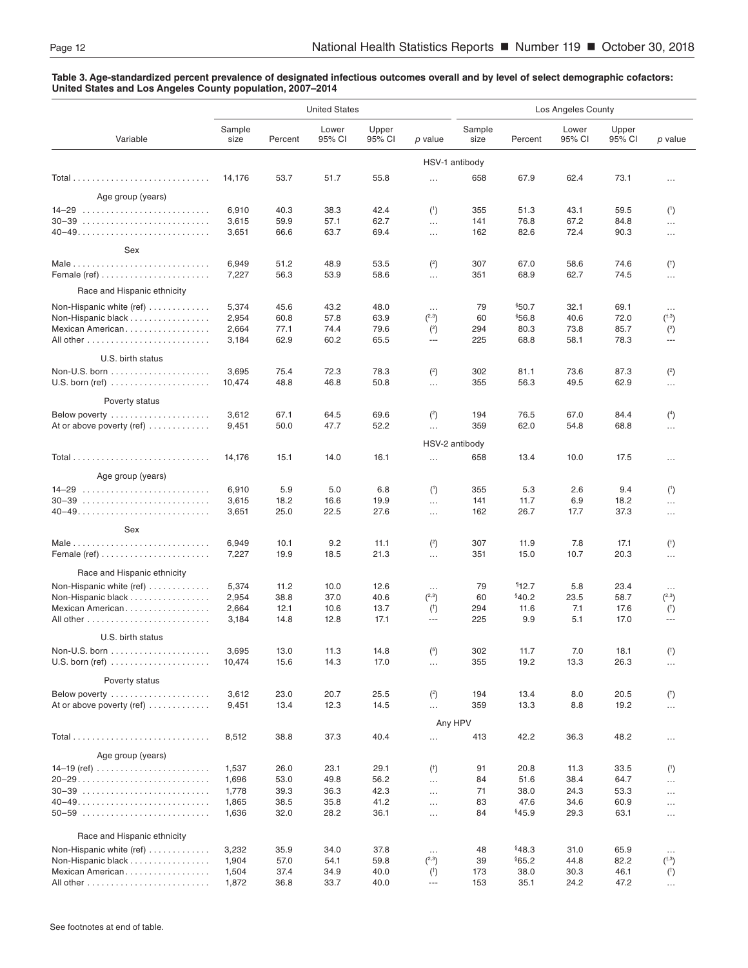#### <span id="page-11-0"></span>**Table 3. Age-standardized percent prevalence of designated infectious outcomes overall and by level of select demographic cofactors: United States and Los Angeles County population, 2007–2014**

|                                                                                     |                                  |                              | <b>United States</b>         |                              |                                                      | Los Angeles County     |                                  |                              |                              |                                                       |
|-------------------------------------------------------------------------------------|----------------------------------|------------------------------|------------------------------|------------------------------|------------------------------------------------------|------------------------|----------------------------------|------------------------------|------------------------------|-------------------------------------------------------|
| Variable                                                                            | Sample<br>size                   | Percent                      | Lower<br>95% CI              | Upper<br>95% CI              | p value                                              | Sample<br>size         | Percent                          | Lower<br>95% CI              | Upper<br>95% CI              | p value                                               |
|                                                                                     |                                  |                              |                              |                              |                                                      | HSV-1 antibody         |                                  |                              |                              |                                                       |
|                                                                                     | 14,176                           | 53.7                         | 51.7                         | 55.8                         | $\cdots$                                             | 658                    | 67.9                             | 62.4                         | 73.1                         | $\cdots$                                              |
| Age group (years)                                                                   |                                  |                              |                              |                              |                                                      |                        |                                  |                              |                              |                                                       |
| $30-39$                                                                             | 6,910<br>3,615<br>3,651          | 40.3<br>59.9<br>66.6         | 38.3<br>57.1<br>63.7         | 42.4<br>62.7<br>69.4         | (1)<br>$\ldots$<br>$\ldots$                          | 355<br>141<br>162      | 51.3<br>76.8<br>82.6             | 43.1<br>67.2<br>72.4         | 59.5<br>84.8<br>90.3         | (1)<br>$\ldots$<br>$\cdots$                           |
| Sex                                                                                 |                                  |                              |                              |                              |                                                      |                        |                                  |                              |                              |                                                       |
| Female (ref) $\dots\dots\dots\dots\dots\dots\dots\dots\dots$                        | 6,949<br>7,227                   | 51.2<br>56.3                 | 48.9<br>53.9                 | 53.5<br>58.6                 | $2$<br>$\cdots$                                      | 307<br>351             | 67.0<br>68.9                     | 58.6<br>62.7                 | 74.6<br>74.5                 | $($ <sup>†</sup> )<br>$\ldots$                        |
| Race and Hispanic ethnicity                                                         |                                  |                              |                              |                              |                                                      |                        |                                  |                              |                              |                                                       |
| Non-Hispanic white $(ref)$<br>Non-Hispanic black<br>Mexican American                | 5,374<br>2,954<br>2,664<br>3,184 | 45.6<br>60.8<br>77.1<br>62.9 | 43.2<br>57.8<br>74.4<br>60.2 | 48.0<br>63.9<br>79.6<br>65.5 | $\cdots$<br>(2,3)<br>(2)<br>$\overline{\phantom{a}}$ | 79<br>60<br>294<br>225 | \$50.7<br>\$56.8<br>80.3<br>68.8 | 32.1<br>40.6<br>73.8<br>58.1 | 69.1<br>72.0<br>85.7<br>78.3 | $\ldots$<br>(1,3)<br>$\binom{2}{ }$<br>$\overline{a}$ |
| U.S. birth status                                                                   |                                  |                              |                              |                              |                                                      |                        |                                  |                              |                              |                                                       |
| $U.S.$ born (ref) $\ldots \ldots \ldots \ldots \ldots \ldots$                       | 3,695<br>10,474                  | 75.4<br>48.8                 | 72.3<br>46.8                 | 78.3<br>50.8                 | (2)<br>$\ldots$                                      | 302<br>355             | 81.1<br>56.3                     | 73.6<br>49.5                 | 87.3<br>62.9                 | $\binom{2}{ }$<br>$\cdots$                            |
| Poverty status                                                                      |                                  |                              |                              |                              |                                                      |                        |                                  |                              |                              |                                                       |
| Below poverty<br>At or above poverty (ref) $\dots\dots\dots\dots$                   | 3,612<br>9,451                   | 67.1<br>50.0                 | 64.5<br>47.7                 | 69.6<br>52.2                 | (2)<br>$\ldots$                                      | 194<br>359             | 76.5<br>62.0                     | 67.0<br>54.8                 | 84.4<br>68.8                 | (4)<br>$\cdots$                                       |
|                                                                                     |                                  |                              |                              |                              |                                                      | HSV-2 antibody         |                                  |                              |                              |                                                       |
|                                                                                     | 14,176                           | 15.1                         | 14.0                         | 16.1                         | $\cdots$                                             | 658                    | 13.4                             | 10.0                         | 17.5                         | $\cdots$                                              |
| Age group (years)                                                                   |                                  |                              |                              |                              |                                                      |                        |                                  |                              |                              |                                                       |
|                                                                                     | 6,910<br>3,615                   | 5.9<br>18.2                  | 5.0<br>16.6                  | 6.8<br>19.9                  | (1)<br>$\cdots$                                      | 355<br>141             | 5.3<br>11.7                      | 2.6<br>6.9                   | 9.4<br>18.2                  | (1)<br>$\cdots$                                       |
|                                                                                     | 3,651                            | 25.0                         | 22.5                         | 27.6                         | $\ldots$                                             | 162                    | 26.7                             | 17.7                         | 37.3                         | $\cdots$                                              |
| Sex                                                                                 |                                  |                              |                              |                              |                                                      |                        |                                  |                              |                              |                                                       |
| Female (ref) $\ldots \ldots \ldots \ldots \ldots \ldots \ldots$                     | 6,949<br>7,227                   | 10.1<br>19.9                 | 9.2<br>18.5                  | 11.1<br>21.3                 | (2)<br>$\cdots$                                      | 307<br>351             | 11.9<br>15.0                     | 7.8<br>10.7                  | 17.1<br>20.3                 | $($ <sup>†</sup> )<br>$\cdots$                        |
| Race and Hispanic ethnicity                                                         |                                  |                              |                              |                              |                                                      |                        |                                  |                              |                              |                                                       |
| Non-Hispanic white (ref)<br>Non-Hispanic black<br>Mexican American                  | 5,374<br>2,954<br>2,664<br>3,184 | 11.2<br>38.8<br>12.1<br>14.8 | 10.0<br>37.0<br>10.6<br>12.8 | 12.6<br>40.6<br>13.7<br>17.1 | $\ldots$<br>(2,3)<br>$($ <sup>†</sup> )<br>---       | 79<br>60<br>294<br>225 | 112.7<br>§40.2<br>11.6<br>9.9    | 5.8<br>23.5<br>7.1<br>5.1    | 23.4<br>58.7<br>17.6<br>17.0 | $\cdots$<br>(2,3)<br>$($ <sup>†</sup> )<br>---        |
| U.S. birth status                                                                   |                                  |                              |                              |                              |                                                      |                        |                                  |                              |                              |                                                       |
| $U.S.$ born (ref) $\ldots \ldots \ldots \ldots \ldots \ldots$                       | 3,695<br>10,474                  | 13.0<br>15.6                 | 11.3<br>14.3                 | 14.8<br>17.0                 | (5)<br>$\ldots$                                      | 302<br>355             | 11.7<br>19.2                     | $7.0$<br>13.3                | 18.1<br>26.3                 | $(^{\dagger})$<br>$\cdots$                            |
| Poverty status                                                                      |                                  |                              |                              |                              |                                                      |                        |                                  |                              |                              |                                                       |
| Below poverty<br>At or above poverty (ref)                                          | 3,612<br>9,451                   | 23.0<br>13.4                 | 20.7<br>12.3                 | 25.5<br>14.5                 | (2)<br>$\cdots$                                      | 194<br>359             | 13.4<br>13.3                     | 8.0<br>8.8                   | 20.5<br>19.2                 | $($ <sup>†</sup> )<br>$\ldots$                        |
|                                                                                     |                                  |                              |                              |                              |                                                      | Any HPV                |                                  |                              |                              |                                                       |
|                                                                                     | 8,512                            | 38.8                         | 37.3                         | 40.4                         | $\cdots$                                             | 413                    | 42.2                             | 36.3                         | 48.2                         | $\cdots$                                              |
| Age group (years)<br>14–19 (ref) $\ldots \ldots \ldots \ldots \ldots \ldots \ldots$ | 1,537                            | 26.0                         | 23.1                         | 29.1                         | $($ <sup>†</sup> )                                   | 91                     | 20.8                             | 11.3                         | 33.5                         |                                                       |
|                                                                                     | 1,696<br>1,778                   | 53.0<br>39.3                 | 49.8<br>36.3                 | 56.2<br>42.3                 | $\cdots$<br>$\cdots$                                 | 84<br>71               | 51.6<br>38.0                     | 38.4<br>24.3                 | 64.7<br>53.3                 | $\binom{1}{ }$<br>$\cdots$<br>$\cdots$                |
|                                                                                     | 1,865<br>1,636                   | 38.5<br>32.0                 | 35.8<br>28.2                 | 41.2<br>36.1                 | $\ldots$<br>$\cdots$                                 | 83<br>84               | 47.6<br>§45.9                    | 34.6<br>29.3                 | 60.9<br>63.1                 | $\ldots$<br>$\cdots$                                  |
| Race and Hispanic ethnicity                                                         |                                  |                              |                              |                              |                                                      |                        |                                  |                              |                              |                                                       |
| Non-Hispanic white (ref)                                                            | 3,232                            | 35.9                         | 34.0                         | 37.8                         | $\cdots$                                             | 48                     | \$48.3                           | 31.0                         | 65.9                         | $\ldots$                                              |
| Non-Hispanic black<br>Mexican American                                              | 1,904<br>1,504<br>1,872          | 57.0<br>37.4<br>36.8         | 54.1<br>34.9<br>33.7         | 59.8<br>40.0<br>40.0         | (2,3)<br>$($ †<br>$\scriptstyle\cdots$               | 39<br>173<br>153       | §65.2<br>38.0<br>35.1            | 44.8<br>30.3<br>24.2         | 82.2<br>46.1<br>47.2         | (1,3)<br>$($ <sup>†</sup> )<br>$\ldots$               |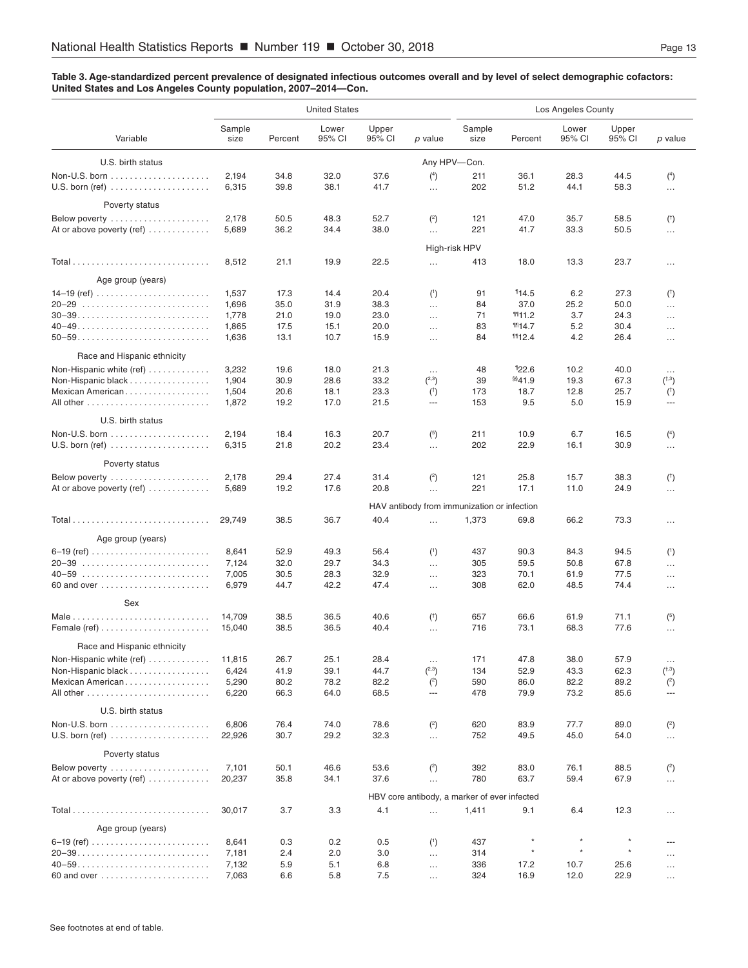#### **Table 3. Age-standardized percent prevalence of designated infectious outcomes overall and by level of select demographic cofactors: United States and Los Angeles County population, 2007–2014—Con.**

|                                                                                                               |                                           |                                      | <b>United States</b>                 |                                      |                                                           | Los Angeles County         |                                            |                                  |                                      |                                                       |
|---------------------------------------------------------------------------------------------------------------|-------------------------------------------|--------------------------------------|--------------------------------------|--------------------------------------|-----------------------------------------------------------|----------------------------|--------------------------------------------|----------------------------------|--------------------------------------|-------------------------------------------------------|
| Variable                                                                                                      | Sample<br>size                            | Percent                              | Lower<br>95% CI                      | Upper<br>95% CI                      | p value                                                   | Sample<br>size             | Percent                                    | Lower<br>95% CI                  | Upper<br>95% CI                      | p value                                               |
| U.S. birth status                                                                                             |                                           |                                      |                                      |                                      |                                                           | Any HPV-Con.               |                                            |                                  |                                      |                                                       |
| $U.S.$ born (ref) $\ldots \ldots \ldots \ldots \ldots \ldots$                                                 | 2,194<br>6,315                            | 34.8<br>39.8                         | 32.0<br>38.1                         | 37.6<br>41.7                         | $(^{4})$<br>$\ldots$                                      | 211<br>202                 | 36.1<br>51.2                               | 28.3<br>44.1                     | 44.5<br>58.3                         | $(4)$<br>$\ddotsc$                                    |
| Poverty status                                                                                                |                                           |                                      |                                      |                                      |                                                           |                            |                                            |                                  |                                      |                                                       |
| Below poverty $\ldots \ldots \ldots \ldots \ldots \ldots$<br>At or above poverty (ref) $\dots\dots\dots\dots$ | 2,178<br>5,689                            | 50.5<br>36.2                         | 48.3<br>34.4                         | 52.7<br>38.0                         | (2)<br>$\ldots$                                           | 121<br>221                 | 47.0<br>41.7                               | 35.7<br>33.3                     | 58.5<br>50.5                         | $($ <sup>†</sup> )<br>$\cdots$                        |
|                                                                                                               |                                           |                                      |                                      |                                      |                                                           | High-risk HPV              |                                            |                                  |                                      |                                                       |
|                                                                                                               | 8,512                                     | 21.1                                 | 19.9                                 | 22.5                                 | $\ldots$                                                  | 413                        | 18.0                                       | 13.3                             | 23.7                                 | $\cdots$                                              |
| Age group (years)                                                                                             |                                           |                                      |                                      |                                      |                                                           |                            |                                            |                                  |                                      |                                                       |
|                                                                                                               | 1,537<br>1,696<br>1,778<br>1,865<br>1,636 | 17.3<br>35.0<br>21.0<br>17.5<br>13.1 | 14.4<br>31.9<br>19.0<br>15.1<br>10.7 | 20.4<br>38.3<br>23.0<br>20.0<br>15.9 | (1)<br>$\cdots$<br>$\cdots$<br>$\cdots$<br>$\cdots$       | 91<br>84<br>71<br>83<br>84 | 114.5<br>37.0<br>111.2<br>1114.7<br>1112.4 | 6.2<br>25.2<br>3.7<br>5.2<br>4.2 | 27.3<br>50.0<br>24.3<br>30.4<br>26.4 | $($ †<br>$\cdots$<br>$\cdots$<br>$\cdots$<br>$\cdots$ |
| Race and Hispanic ethnicity                                                                                   |                                           |                                      |                                      |                                      |                                                           |                            |                                            |                                  |                                      |                                                       |
| Non-Hispanic white (ref)<br>Non-Hispanic black<br>Mexican American                                            | 3,232<br>1,904<br>1,504<br>1,872          | 19.6<br>30.9<br>20.6<br>19.2         | 18.0<br>28.6<br>18.1<br>17.0         | 21.3<br>33.2<br>23.3<br>21.5         | $\cdots$<br>(2,3)<br>(1)<br>$\cdots$                      | 48<br>39<br>173<br>153     | 122.6<br>§§41.9<br>18.7<br>9.5             | 10.2<br>19.3<br>12.8<br>5.0      | 40.0<br>67.3<br>25.7<br>15.9         | $\cdots$<br>(1,3)<br>$($ †<br>$\sim$                  |
| U.S. birth status                                                                                             |                                           |                                      |                                      |                                      |                                                           |                            |                                            |                                  |                                      |                                                       |
| $U.S.$ born (ref) $\ldots \ldots \ldots \ldots \ldots \ldots$                                                 | 2,194<br>6,315                            | 18.4<br>21.8                         | 16.3<br>20.2                         | 20.7<br>23.4                         | (5)<br>$\cdots$                                           | 211<br>202                 | 10.9<br>22.9                               | 6.7<br>16.1                      | 16.5<br>30.9                         | $(^{4})$<br>$\cdots$                                  |
| Poverty status                                                                                                |                                           |                                      |                                      |                                      |                                                           |                            |                                            |                                  |                                      |                                                       |
| Below poverty $\ldots \ldots \ldots \ldots \ldots \ldots$<br>At or above poverty (ref) $\dots\dots\dots\dots$ | 2,178<br>5,689                            | 29.4<br>19.2                         | 27.4<br>17.6                         | 31.4<br>20.8                         | $\binom{2}{ }$<br>$\ldots$                                | 121<br>221                 | 25.8<br>17.1                               | 15.7<br>11.0                     | 38.3<br>24.9                         | $($ †<br>                                             |
|                                                                                                               |                                           |                                      |                                      |                                      | HAV antibody from immunization or infection               |                            |                                            |                                  |                                      |                                                       |
|                                                                                                               | 29,749                                    | 38.5                                 | 36.7                                 | 40.4                                 | $\cdots$                                                  | 1,373                      | 69.8                                       | 66.2                             | 73.3                                 | $\cdots$                                              |
| Age group (years)                                                                                             |                                           |                                      |                                      |                                      |                                                           |                            |                                            |                                  |                                      |                                                       |
|                                                                                                               | 8,641<br>7,124<br>7,005<br>6,979          | 52.9<br>32.0<br>30.5<br>44.7         | 49.3<br>29.7<br>28.3<br>42.2         | 56.4<br>34.3<br>32.9<br>47.4         | (1)<br>$\ldots$<br>$\ldots$<br>$\ldots$                   | 437<br>305<br>323<br>308   | 90.3<br>59.5<br>70.1<br>62.0               | 84.3<br>50.8<br>61.9<br>48.5     | 94.5<br>67.8<br>77.5<br>74.4         | (1)<br>$\cdots$<br>$\cdots$<br>                       |
| Sex                                                                                                           |                                           |                                      |                                      |                                      |                                                           |                            |                                            |                                  |                                      |                                                       |
| Female (ref) $\ldots$                                                                                         | 14,709<br>15,040                          | 38.5<br>38.5                         | 36.5<br>36.5                         | 40.6<br>40.4                         | $($ <sup>†</sup> )<br>$\cdots$                            | 657<br>716                 | 66.6<br>73.1                               | 61.9<br>68.3                     | 71.1<br>77.6                         | (5)<br>$\cdots$                                       |
| Race and Hispanic ethnicity                                                                                   |                                           |                                      |                                      |                                      |                                                           |                            |                                            |                                  |                                      |                                                       |
| Non-Hispanic white (ref)<br>Non-Hispanic black<br>Mexican American                                            | 11,815<br>6,424<br>5,290<br>6,220         | 26.7<br>41.9<br>80.2<br>66.3         | 25.1<br>39.1<br>78.2<br>64.0         | 28.4<br>44.7<br>82.2<br>68.5         | $\ldots$<br>(2,3)<br>$^{(2)}$<br>$\hspace{0.05cm} \ldots$ | 171<br>134<br>590<br>478   | 47.8<br>52.9<br>86.0<br>79.9               | 38.0<br>43.3<br>82.2<br>73.2     | 57.9<br>62.3<br>89.2<br>85.6         | $\cdots$<br>(1,3)<br>$\binom{2}{ }$<br>---            |
| U.S. birth status                                                                                             |                                           |                                      |                                      |                                      |                                                           |                            |                                            |                                  |                                      |                                                       |
|                                                                                                               | 6,806<br>22,926                           | 76.4<br>30.7                         | 74.0<br>29.2                         | 78.6<br>32.3                         | $^{2}$<br>$\ldots$                                        | 620<br>752                 | 83.9<br>49.5                               | 77.7<br>45.0                     | 89.0<br>54.0                         | $\binom{2}{ }$<br>                                    |
| Poverty status                                                                                                |                                           |                                      |                                      |                                      |                                                           |                            |                                            |                                  |                                      |                                                       |
| Below poverty<br>At or above poverty (ref) $\dots\dots\dots\dots$                                             | 7,101<br>20,237                           | 50.1<br>35.8                         | 46.6<br>34.1                         | 53.6<br>37.6                         | $\binom{2}{ }$<br>$\cdots$                                | 392<br>780                 | 83.0<br>63.7                               | 76.1<br>59.4                     | 88.5<br>67.9                         | $\binom{2}{ }$<br>$\cdots$                            |
|                                                                                                               |                                           |                                      |                                      |                                      | HBV core antibody, a marker of ever infected              |                            |                                            |                                  |                                      |                                                       |
|                                                                                                               | 30,017                                    | 3.7                                  | 3.3                                  | 4.1                                  | $\ldots$                                                  | 1,411                      | 9.1                                        | 6.4                              | 12.3                                 | $\cdots$                                              |
| Age group (years)                                                                                             |                                           |                                      |                                      |                                      |                                                           |                            |                                            |                                  |                                      |                                                       |
|                                                                                                               | 8,641<br>7,181<br>7,132                   | 0.3<br>2.4<br>5.9                    | 0.2<br>2.0<br>5.1                    | 0.5<br>3.0<br>6.8                    | (1)<br>$\cdots$<br>$\cdots$                               | 437<br>314<br>336          | $\pmb{\ast}$<br>$\star$<br>17.2            | $\star$<br>$\star$<br>10.7       | $\star$<br>25.6                      | ---<br><br>                                           |
|                                                                                                               | 7,063                                     | 6.6                                  | 5.8                                  | 7.5                                  | $\cdots$                                                  | 324                        | 16.9                                       | 12.0                             | 22.9                                 | $\cdots$                                              |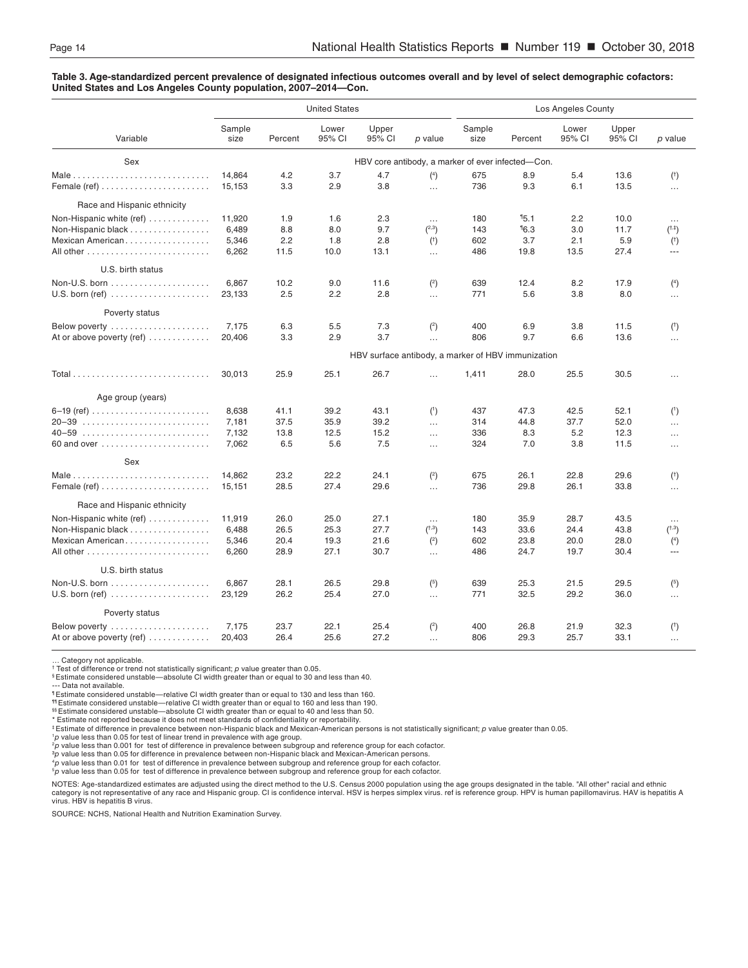#### **Table 3. Age-standardized percent prevalence of designated infectious outcomes overall and by level of select demographic cofactors: United States and Los Angeles County population, 2007–2014—Con.**

|                                                                                                         |                                   |                              | <b>United States</b>         |                              |                                                     | Los Angeles County                                 |                              |                              |                              |                                                   |
|---------------------------------------------------------------------------------------------------------|-----------------------------------|------------------------------|------------------------------|------------------------------|-----------------------------------------------------|----------------------------------------------------|------------------------------|------------------------------|------------------------------|---------------------------------------------------|
| Variable                                                                                                | Sample<br>size                    | Percent                      | Lower<br>95% CI              | Upper<br>95% CI              | p value                                             | Sample<br>size                                     | Percent                      | Lower<br>95% CI              | Upper<br>95% CI              | p value                                           |
| Sex                                                                                                     |                                   |                              |                              |                              |                                                     | HBV core antibody, a marker of ever infected-Con.  |                              |                              |                              |                                                   |
|                                                                                                         | 14.864<br>15.153                  | 4.2<br>3.3                   | 3.7<br>2.9                   | 4.7<br>3.8                   | $(^{4})$<br>$\ddotsc$                               | 675<br>736                                         | 8.9<br>9.3                   | 5.4<br>6.1                   | 13.6<br>13.5                 | $($ <sup>†</sup> )<br>$\cdots$                    |
| Race and Hispanic ethnicity                                                                             |                                   |                              |                              |                              |                                                     |                                                    |                              |                              |                              |                                                   |
| Non-Hispanic white (ref)<br>Non-Hispanic black<br>Mexican American                                      | 11,920<br>6,489<br>5,346<br>6,262 | 1.9<br>8.8<br>2.2<br>11.5    | 1.6<br>8.0<br>1.8<br>10.0    | 2.3<br>9.7<br>2.8<br>13.1    | $\cdots$<br>(2,3)<br>$($ <sup>†</sup> )<br>$\cdots$ | 180<br>143<br>602<br>486                           | 15.1<br>16.3<br>3.7<br>19.8  | 2.2<br>3.0<br>2.1<br>13.5    | 10.0<br>11.7<br>5.9<br>27.4  | $\cdots$<br>(1, 1)<br>$($ <sup>†</sup> )<br>$---$ |
| U.S. birth status                                                                                       |                                   |                              |                              |                              |                                                     |                                                    |                              |                              |                              |                                                   |
| $U.S.$ born (ref) $\ldots \ldots \ldots \ldots \ldots \ldots$                                           | 6.867<br>23,133                   | 10.2<br>2.5                  | 9.0<br>2.2                   | 11.6<br>2.8                  | $\binom{2}{ }$<br>$\cdots$                          | 639<br>771                                         | 12.4<br>5.6                  | 8.2<br>3.8                   | 17.9<br>8.0                  | $(^{4})$<br>$\cdots$                              |
| Poverty status                                                                                          |                                   |                              |                              |                              |                                                     |                                                    |                              |                              |                              |                                                   |
| Below poverty $\dots\dots\dots\dots\dots\dots\dots$<br>At or above poverty (ref) $\dots\dots\dots\dots$ | 7,175<br>20,406                   | 6.3<br>3.3                   | 5.5<br>2.9                   | 7.3<br>3.7                   | $\binom{2}{ }$<br>$\ddotsc$                         | 400<br>806                                         | 6.9<br>9.7                   | 3.8<br>6.6                   | 11.5<br>13.6                 | $($ <sup>†</sup> )<br>$\cdots$                    |
|                                                                                                         |                                   |                              |                              |                              |                                                     | HBV surface antibody, a marker of HBV immunization |                              |                              |                              |                                                   |
|                                                                                                         | 30,013                            | 25.9                         | 25.1                         | 26.7                         | $\cdots$                                            | 1,411                                              | 28.0                         | 25.5                         | 30.5                         | $\cdots$                                          |
| Age group (years)                                                                                       |                                   |                              |                              |                              |                                                     |                                                    |                              |                              |                              |                                                   |
| 60 and over                                                                                             | 8,638<br>7.181<br>7,132<br>7,062  | 41.1<br>37.5<br>13.8<br>6.5  | 39.2<br>35.9<br>12.5<br>5.6  | 43.1<br>39.2<br>15.2<br>7.5  | (1)<br>$\ddotsc$<br>$\ddotsc$<br>$\cdots$           | 437<br>314<br>336<br>324                           | 47.3<br>44.8<br>8.3<br>7.0   | 42.5<br>37.7<br>5.2<br>3.8   | 52.1<br>52.0<br>12.3<br>11.5 | (1)<br><br>$\cdots$<br>$\cdots$                   |
| Sex                                                                                                     |                                   |                              |                              |                              |                                                     |                                                    |                              |                              |                              |                                                   |
| Female (ref) $\ldots$                                                                                   | 14,862<br>15,151                  | 23.2<br>28.5                 | 22.2<br>27.4                 | 24.1<br>29.6                 | $2$<br>$\cdots$                                     | 675<br>736                                         | 26.1<br>29.8                 | 22.8<br>26.1                 | 29.6<br>33.8                 | $($ <sup>†</sup> )<br>$\cdots$                    |
| Race and Hispanic ethnicity                                                                             |                                   |                              |                              |                              |                                                     |                                                    |                              |                              |                              |                                                   |
| Non-Hispanic white (ref)<br>Non-Hispanic black<br>Mexican American                                      | 11,919<br>6.488<br>5,346<br>6,260 | 26.0<br>26.5<br>20.4<br>28.9 | 25.0<br>25.3<br>19.3<br>27.1 | 27.1<br>27.7<br>21.6<br>30.7 | $\ldots$<br>(1,3)<br>$\binom{2}{ }$<br>$\cdots$     | 180<br>143<br>602<br>486                           | 35.9<br>33.6<br>23.8<br>24.7 | 28.7<br>24.4<br>20.0<br>19.7 | 43.5<br>43.8<br>28.0<br>30.4 | $\cdots$<br>(1,3)<br>(4)<br>---                   |
| U.S. birth status                                                                                       |                                   |                              |                              |                              |                                                     |                                                    |                              |                              |                              |                                                   |
| $U.S.$ born (ref) $\ldots \ldots \ldots \ldots \ldots$                                                  | 6,867<br>23,129                   | 28.1<br>26.2                 | 26.5<br>25.4                 | 29.8<br>27.0                 | (5)<br>$\ddotsc$                                    | 639<br>771                                         | 25.3<br>32.5                 | 21.5<br>29.2                 | 29.5<br>36.0                 | (5)<br>$\cdots$                                   |
| Poverty status                                                                                          |                                   |                              |                              |                              |                                                     |                                                    |                              |                              |                              |                                                   |
| Below poverty $\dots\dots\dots\dots\dots\dots\dots$<br>At or above poverty (ref) $\dots\dots\dots\dots$ | 7,175<br>20,403                   | 23.7<br>26.4                 | 22.1<br>25.6                 | 25.4<br>27.2                 | (2)<br>$\ddotsc$                                    | 400<br>806                                         | 26.8<br>29.3                 | 21.9<br>25.7                 | 32.3<br>33.1                 | $($ <sup>†</sup> )<br>$\cdots$                    |

… Category not applicable. †

Test of difference or trend not statistically significant; *p* value greater than 0.05. § Estimate considered unstable—absolute CI width greater than or equal to 30 and less than 40.

--- Data not available.

¶ Estimate considered unstable—relative CI width greater than or equal to 130 and less than 160.

¶¶ Estimate considered unstable—relative CI width greater than or equal to 160 and less than 190.

§§ Estimate considered unstable—absolute CI width greater than or equal to 40 and less than 50. \* Estimate not reported because it does not meet standards of confidentiality or reportability.

‡ Estimate of difference in prevalence between non-Hispanic black and Mexican-American persons is not statistically significant; *p* value greater than 0.05.

<sup>1</sup>p value less than 0.05 for test of linear trend in prevalence with age group.<br><sup>2</sup>p value less than 0.001 for test of difference in prevalence between subgroup and reference group for each cofactor.

∛p value less than 0.05 for difference in prevalence between non-Hispanic black and Mexican-American persons.<br>"p value less than 0.01 for test of difference in prevalence between subgroup and reference group for each co

NOTES: Age-standardized estimates are adjusted using the direct method to the U.S. Census 2000 population using the age groups designated in the table. "All other" racial and ethnic category is not representative of any race and Hispanic group. CI is confidence interval. HSV is herpes simplex virus. ref is reference group. HPV is human papillomavirus. HAV is hepatitis A<br>virus. HBV is hepatitis B virus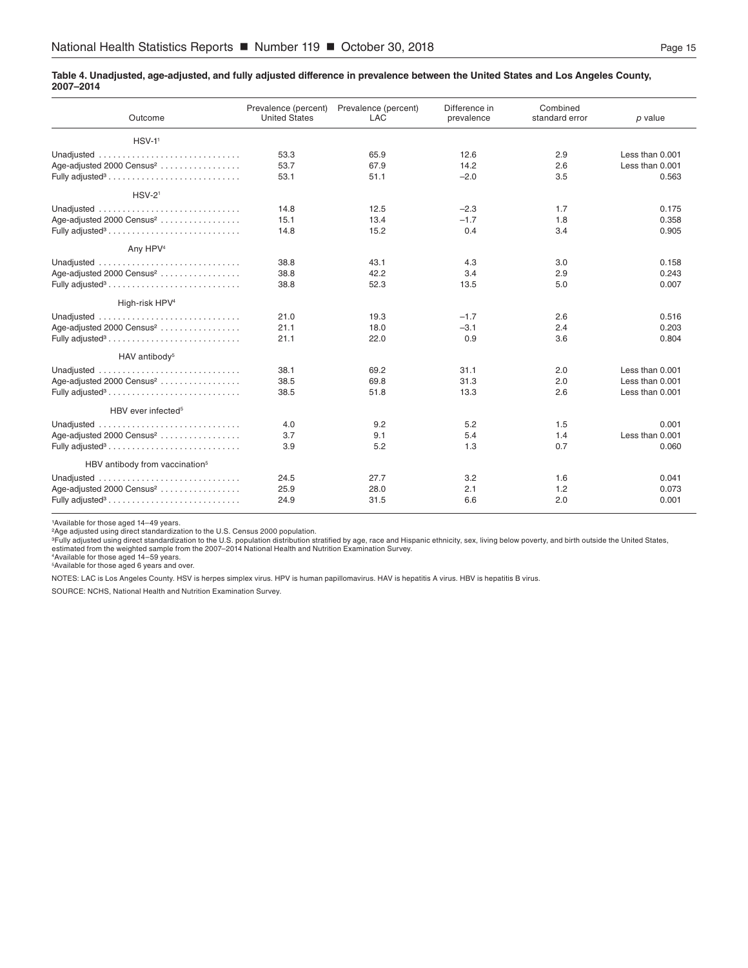#### <span id="page-14-0"></span>**Table 4. Unadjusted, age-adjusted, and fully adjusted difference in prevalence between the United States and Los Angeles County, 2007–2014**

| Outcome                                    | Prevalence (percent)<br><b>United States</b> | Prevalence (percent)<br><b>LAC</b> | Difference in<br>prevalence | Combined<br>standard error | p value         |
|--------------------------------------------|----------------------------------------------|------------------------------------|-----------------------------|----------------------------|-----------------|
| $HSV-11$                                   |                                              |                                    |                             |                            |                 |
| Unadjusted                                 | 53.3                                         | 65.9                               | 12.6                        | 2.9                        | Less than 0.001 |
| Age-adjusted 2000 Census <sup>2</sup>      | 53.7                                         | 67.9                               | 14.2                        | 2.6                        | Less than 0.001 |
| Fully adjusted <sup>3</sup>                | 53.1                                         | 51.1                               | $-2.0$                      | 3.5                        | 0.563           |
| $HSV-21$                                   |                                              |                                    |                             |                            |                 |
| Unadjusted                                 | 14.8                                         | 12.5                               | $-2.3$                      | 1.7                        | 0.175           |
| Age-adjusted 2000 Census <sup>2</sup>      | 15.1                                         | 13.4                               | $-1.7$                      | 1.8                        | 0.358           |
| Fully adjusted <sup>3</sup>                | 14.8                                         | 15.2                               | 0.4                         | 3.4                        | 0.905           |
| Any HPV <sup>4</sup>                       |                                              |                                    |                             |                            |                 |
| Unadjusted                                 | 38.8                                         | 43.1                               | 4.3                         | 3.0                        | 0.158           |
| Age-adjusted 2000 Census <sup>2</sup>      | 38.8                                         | 42.2                               | 3.4                         | 2.9                        | 0.243           |
| Fully adjusted <sup>3</sup>                | 38.8                                         | 52.3                               | 13.5                        | 5.0                        | 0.007           |
| High-risk HPV <sup>4</sup>                 |                                              |                                    |                             |                            |                 |
|                                            | 21.0                                         | 19.3                               | $-1.7$                      | 2.6                        | 0.516           |
| Age-adjusted 2000 Census <sup>2</sup>      | 21.1                                         | 18.0                               | $-3.1$                      | 2.4                        | 0.203           |
| Fully adjusted <sup>3</sup>                | 21.1                                         | 22.0                               | 0.9                         | 3.6                        | 0.804           |
| HAV antibody <sup>5</sup>                  |                                              |                                    |                             |                            |                 |
|                                            | 38.1                                         | 69.2                               | 31.1                        | 2.0                        | Less than 0.001 |
| Age-adjusted 2000 Census <sup>2</sup>      | 38.5                                         | 69.8                               | 31.3                        | 2.0                        | Less than 0.001 |
| Fully adjusted <sup>3</sup>                | 38.5                                         | 51.8                               | 13.3                        | 2.6                        | Less than 0.001 |
| HBV ever infected <sup>5</sup>             |                                              |                                    |                             |                            |                 |
| Unadjusted                                 | 4.0                                          | 9.2                                | 5.2                         | 1.5                        | 0.001           |
| Age-adjusted 2000 Census <sup>2</sup>      | 3.7                                          | 9.1                                | 5.4                         | 1.4                        | Less than 0.001 |
| Fully adjusted <sup>3</sup>                | 3.9                                          | 5.2                                | 1.3                         | 0.7                        | 0.060           |
| HBV antibody from vaccination <sup>5</sup> |                                              |                                    |                             |                            |                 |
| Unadjusted                                 | 24.5                                         | 27.7                               | 3.2                         | 1.6                        | 0.041           |
| Age-adjusted 2000 Census <sup>2</sup>      | 25.9                                         | 28.0                               | 2.1                         | 1.2                        | 0.073           |
|                                            | 24.9                                         | 31.5                               | 6.6                         | 2.0                        | 0.001           |

1Available for those aged 14-49 years.

°Age adjusted using direct standardization to the U.S. Census 2000 population.<br>°Fully adjusted using direct standardization to the U.S. population distribution stratified by age, race and Hispanic ethnicity, sex, living b

4 Available for those aged 14–59 years. 5 Available for those aged 6 years and over.

NOTES: LAC is Los Angeles County. HSV is herpes simplex virus. HPV is human papillomavirus. HAV is hepatitis A virus. HBV is hepatitis B virus.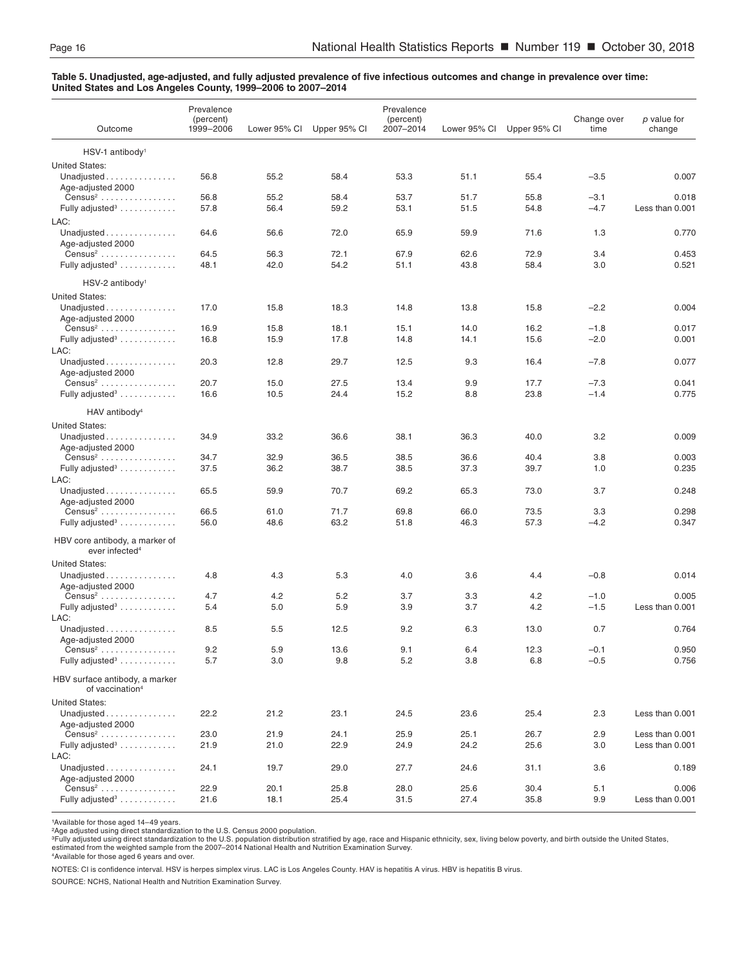#### <span id="page-15-0"></span>**Table 5. Unadjusted, age-adjusted, and fully adjusted prevalence of five infectious outcomes and change in prevalence over time: United States and Los Angeles County, 1999–2006 to 2007–2014**

| Outcome                                                       | Prevalence<br>(percent)<br>1999-2006 | Lower 95% CI | Upper 95% CI | Prevalence<br>(percent)<br>2007-2014 | Lower 95% CI | Upper 95% CI | Change over<br>time | p value for<br>change |
|---------------------------------------------------------------|--------------------------------------|--------------|--------------|--------------------------------------|--------------|--------------|---------------------|-----------------------|
| HSV-1 antibody <sup>1</sup>                                   |                                      |              |              |                                      |              |              |                     |                       |
| <b>United States:</b>                                         |                                      |              |              |                                      |              |              |                     |                       |
| Unadjusted<br>Age-adjusted 2000                               | 56.8                                 | 55.2         | 58.4         | 53.3                                 | 51.1         | 55.4         | $-3.5$              | 0.007                 |
| $Census2$                                                     | 56.8                                 | 55.2         | 58.4         | 53.7                                 | 51.7         | 55.8         | $-3.1$              | 0.018                 |
| Fully adjusted <sup>3</sup>                                   | 57.8                                 | 56.4         | 59.2         | 53.1                                 | 51.5         | 54.8         | $-4.7$              | Less than 0.001       |
| LAC:                                                          |                                      |              |              |                                      |              |              |                     |                       |
| Unadjusted $\ldots$<br>Age-adjusted 2000                      | 64.6                                 | 56.6         | 72.0         | 65.9                                 | 59.9         | 71.6         | 1.3                 | 0.770                 |
| $Census2$                                                     | 64.5                                 | 56.3         | 72.1         | 67.9                                 | 62.6         | 72.9         | 3.4                 | 0.453                 |
| Fully adjusted <sup>3</sup>                                   | 48.1                                 | 42.0         | 54.2         | 51.1                                 | 43.8         | 58.4         | 3.0                 | 0.521                 |
| $HSV-2$ antibody <sup>1</sup>                                 |                                      |              |              |                                      |              |              |                     |                       |
| <b>United States:</b>                                         |                                      |              |              |                                      |              |              |                     |                       |
| Unadjusted<br>Age-adjusted 2000                               | 17.0                                 | 15.8         | 18.3         | 14.8                                 | 13.8         | 15.8         | $-2.2$              | 0.004                 |
| $Census2$                                                     | 16.9                                 | 15.8         | 18.1         | 15.1                                 | 14.0         | 16.2         | $-1.8$              | 0.017                 |
| Fully adjusted <sup>3</sup><br>LAC:                           | 16.8                                 | 15.9         | 17.8         | 14.8                                 | 14.1         | 15.6         | $-2.0$              | 0.001                 |
| Unadjusted                                                    | 20.3                                 | 12.8         | 29.7         | 12.5                                 | 9.3          | 16.4         | $-7.8$              | 0.077                 |
| Age-adjusted 2000                                             |                                      |              |              |                                      |              |              |                     |                       |
| $Census2$                                                     | 20.7                                 | 15.0         | 27.5         | 13.4                                 | 9.9          | 17.7         | $-7.3$              | 0.041                 |
| Fully adjusted <sup>3</sup>                                   | 16.6                                 | 10.5         | 24.4         | 15.2                                 | 8.8          | 23.8         | $-1.4$              | 0.775                 |
| HAV antibody <sup>4</sup>                                     |                                      |              |              |                                      |              |              |                     |                       |
| <b>United States:</b>                                         |                                      |              |              |                                      |              |              |                     |                       |
| Unadjusted                                                    | 34.9                                 | 33.2         | 36.6         | 38.1                                 | 36.3         | 40.0         | 3.2                 | 0.009                 |
| Age-adjusted 2000                                             |                                      |              |              |                                      |              |              |                     |                       |
| $Census2$                                                     | 34.7                                 | 32.9         | 36.5         | 38.5                                 | 36.6         | 40.4         | 3.8                 | 0.003                 |
| Fully adjusted <sup>3</sup><br>LAC:                           | 37.5                                 | 36.2         | 38.7         | 38.5                                 | 37.3         | 39.7         | 1.0                 | 0.235                 |
| Unadjusted                                                    | 65.5                                 | 59.9         | 70.7         | 69.2                                 | 65.3         | 73.0         | 3.7                 | 0.248                 |
| Age-adjusted 2000<br>$Census2$                                | 66.5                                 | 61.0         | 71.7         | 69.8                                 | 66.0         | 73.5         | 3.3                 | 0.298                 |
| Fully adjusted <sup>3</sup>                                   | 56.0                                 | 48.6         | 63.2         | 51.8                                 | 46.3         | 57.3         | $-4.2$              | 0.347                 |
|                                                               |                                      |              |              |                                      |              |              |                     |                       |
| HBV core antibody, a marker of<br>ever infected <sup>4</sup>  |                                      |              |              |                                      |              |              |                     |                       |
| <b>United States:</b>                                         |                                      |              |              |                                      |              |              |                     |                       |
| Unadjusted<br>Age-adjusted 2000                               | 4.8                                  | 4.3          | 5.3          | 4.0                                  | 3.6          | 4.4          | $-0.8$              | 0.014                 |
| $Census2$                                                     | 4.7                                  | 4.2          | 5.2          | 3.7                                  | 3.3          | 4.2          | $-1.0$              | 0.005                 |
| Fully adjusted <sup>3</sup>                                   | 5.4                                  | 5.0          | 5.9          | 3.9                                  | 3.7          | 4.2          | $-1.5$              | Less than 0.001       |
| LAC:                                                          |                                      |              |              |                                      |              |              |                     |                       |
| Unadjusted $\ldots$                                           | 8.5                                  | 5.5          | 12.5         | 9.2                                  | 6.3          | 13.0         | 0.7                 | 0.764                 |
| Age-adjusted 2000                                             |                                      |              |              |                                      |              |              |                     |                       |
| $Census2$                                                     | 9.2                                  | 5.9          | 13.6         | 9.1                                  | 6.4          | 12.3         | $-0.1$              | 0.950                 |
| Fully adjusted <sup>3</sup>                                   | 5.7                                  | 3.0          | 9.8          | 5.2                                  | 3.8          | 6.8          | $-0.5$              | 0.756                 |
| HBV surface antibody, a marker<br>of vaccination <sup>4</sup> |                                      |              |              |                                      |              |              |                     |                       |
| <b>United States:</b>                                         |                                      |              |              |                                      |              |              |                     |                       |
| Unadjusted<br>Age-adjusted 2000                               | 22.2                                 | 21.2         | 23.1         | 24.5                                 | 23.6         | 25.4         | 2.3                 | Less than 0.001       |
| $Census2$                                                     | 23.0                                 | 21.9         | 24.1         | 25.9                                 | 25.1         | 26.7         | 2.9                 | Less than 0.001       |
| Fully adjusted <sup>3</sup> $\ldots$                          | 21.9                                 | 21.0         | 22.9         | 24.9                                 | 24.2         | 25.6         | 3.0                 | Less than 0.001       |
| LAC:                                                          |                                      |              |              |                                      |              |              |                     |                       |
| Unadjusted<br>Age-adjusted 2000                               | 24.1                                 | 19.7         | 29.0         | 27.7                                 | 24.6         | 31.1         | 3.6                 | 0.189                 |
| $Census2$                                                     | 22.9                                 | 20.1         | 25.8         | 28.0                                 | 25.6         | 30.4         | 5.1                 | 0.006                 |
| Fully adjusted <sup>3</sup>                                   | 21.6                                 | 18.1         | 25.4         | 31.5                                 | 27.4         | 35.8         | 9.9                 | Less than 0.001       |

1Available for those aged 14-49 years.

°Age adjusted using direct standardization to the U.S. Census 2000 population.<br>°Fully adjusted using direct standardization to the U.S. population distribution stratified by age, race and Hispanic ethnicity, sex, living b estimated from the weighted sample from the 2007–2014 National Health and Nutrition Examination Survey. 4 Available for those aged 6 years and over.

NOTES: CI is confidence interval. HSV is herpes simplex virus. LAC is Los Angeles County. HAV is hepatitis A virus. HBV is hepatitis B virus.